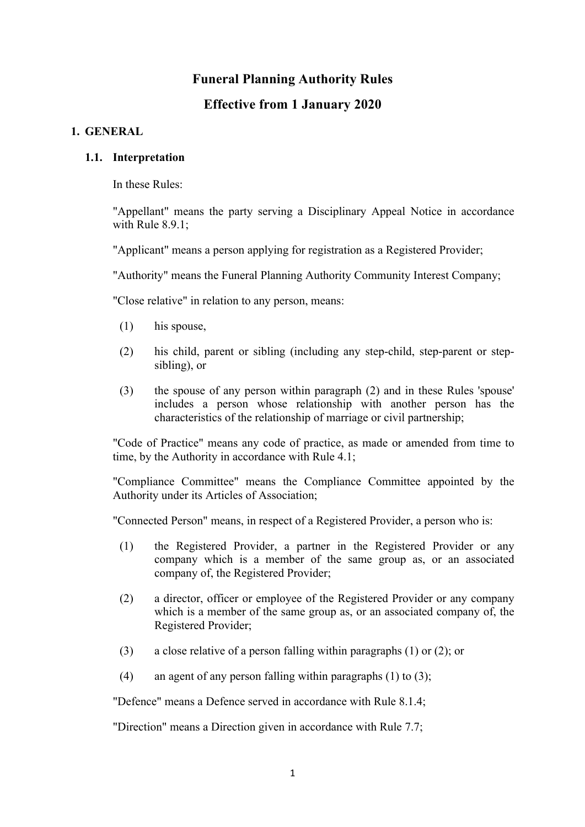# **Funeral Planning Authority Rules**

# **Effective from 1 January 2020**

# **1. GENERAL**

### **1.1. Interpretation**

In these Rules:

"Appellant" means the party serving a Disciplinary Appeal Notice in accordance with Rule 8.9.1;

"Applicant" means a person applying for registration as a Registered Provider;

"Authority" means the Funeral Planning Authority Community Interest Company;

"Close relative" in relation to any person, means:

- (1) his spouse,
- (2) his child, parent or sibling (including any step-child, step-parent or stepsibling), or
- (3) the spouse of any person within paragraph (2) and in these Rules 'spouse' includes a person whose relationship with another person has the characteristics of the relationship of marriage or civil partnership;

"Code of Practice" means any code of practice, as made or amended from time to time, by the Authority in accordance with Rule 4.1;

"Compliance Committee" means the Compliance Committee appointed by the Authority under its Articles of Association;

"Connected Person" means, in respect of a Registered Provider, a person who is:

- (1) the Registered Provider, a partner in the Registered Provider or any company which is a member of the same group as, or an associated company of, the Registered Provider;
- (2) a director, officer or employee of the Registered Provider or any company which is a member of the same group as, or an associated company of, the Registered Provider;
- (3) a close relative of a person falling within paragraphs (1) or (2); or
- (4) an agent of any person falling within paragraphs (1) to (3);

"Defence" means a Defence served in accordance with Rule 8.1.4;

"Direction" means a Direction given in accordance with Rule 7.7;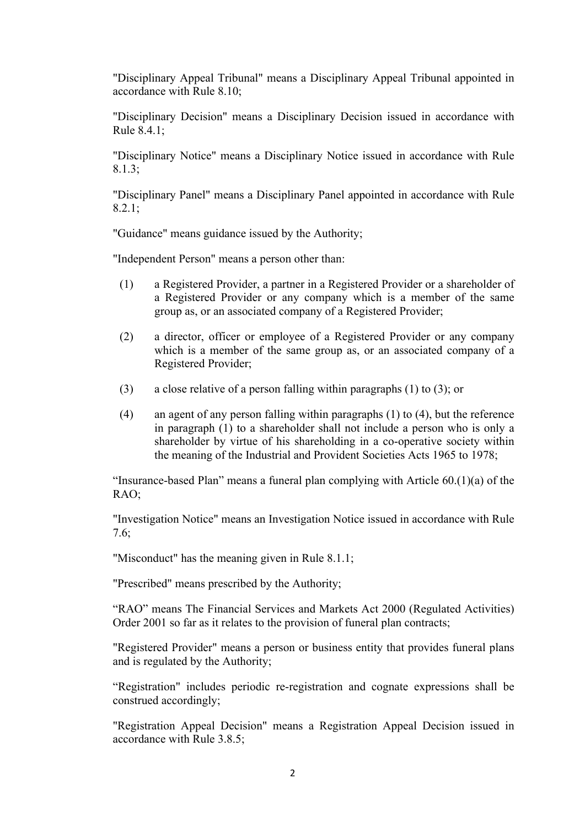"Disciplinary Appeal Tribunal" means a Disciplinary Appeal Tribunal appointed in accordance with Rule 8.10;

"Disciplinary Decision" means a Disciplinary Decision issued in accordance with Rule 8.4.1;

"Disciplinary Notice" means a Disciplinary Notice issued in accordance with Rule 8.1.3;

"Disciplinary Panel" means a Disciplinary Panel appointed in accordance with Rule 8.2.1;

"Guidance" means guidance issued by the Authority;

"Independent Person" means a person other than:

- (1) a Registered Provider, a partner in a Registered Provider or a shareholder of a Registered Provider or any company which is a member of the same group as, or an associated company of a Registered Provider;
- (2) a director, officer or employee of a Registered Provider or any company which is a member of the same group as, or an associated company of a Registered Provider;
- (3) a close relative of a person falling within paragraphs (1) to (3); or
- (4) an agent of any person falling within paragraphs (1) to (4), but the reference in paragraph (1) to a shareholder shall not include a person who is only a shareholder by virtue of his shareholding in a co-operative society within the meaning of the Industrial and Provident Societies Acts 1965 to 1978;

"Insurance-based Plan" means a funeral plan complying with Article 60.(1)(a) of the RAO;

"Investigation Notice" means an Investigation Notice issued in accordance with Rule 7.6;

"Misconduct" has the meaning given in Rule 8.1.1;

"Prescribed" means prescribed by the Authority;

"RAO" means The Financial Services and Markets Act 2000 (Regulated Activities) Order 2001 so far as it relates to the provision of funeral plan contracts;

"Registered Provider" means a person or business entity that provides funeral plans and is regulated by the Authority;

"Registration" includes periodic re-registration and cognate expressions shall be construed accordingly;

"Registration Appeal Decision" means a Registration Appeal Decision issued in accordance with Rule 3.8.5;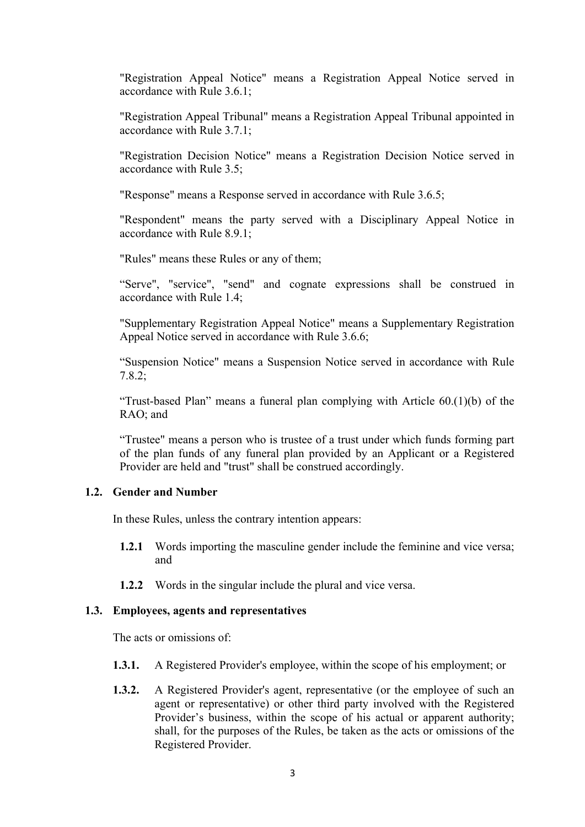"Registration Appeal Notice" means a Registration Appeal Notice served in accordance with Rule 3.6.1;

"Registration Appeal Tribunal" means a Registration Appeal Tribunal appointed in accordance with Rule 3.7.1;

"Registration Decision Notice" means a Registration Decision Notice served in accordance with Rule 3.5;

"Response" means a Response served in accordance with Rule 3.6.5;

"Respondent" means the party served with a Disciplinary Appeal Notice in accordance with Rule 8.9.1;

"Rules" means these Rules or any of them;

"Serve", "service", "send" and cognate expressions shall be construed in accordance with Rule 14<sup>-</sup>

"Supplementary Registration Appeal Notice" means a Supplementary Registration Appeal Notice served in accordance with Rule 3.6.6;

"Suspension Notice" means a Suspension Notice served in accordance with Rule 7.8.2;

"Trust-based Plan" means a funeral plan complying with Article 60.(1)(b) of the RAO; and

"Trustee" means a person who is trustee of a trust under which funds forming part of the plan funds of any funeral plan provided by an Applicant or a Registered Provider are held and "trust" shall be construed accordingly.

### **1.2. Gender and Number**

In these Rules, unless the contrary intention appears:

- **1.2.1** Words importing the masculine gender include the feminine and vice versa; and
- **1.2.2** Words in the singular include the plural and vice versa.

#### **1.3. Employees, agents and representatives**

The acts or omissions of:

- **1.3.1.** A Registered Provider's employee, within the scope of his employment; or
- **1.3.2.** A Registered Provider's agent, representative (or the employee of such an agent or representative) or other third party involved with the Registered Provider's business, within the scope of his actual or apparent authority; shall, for the purposes of the Rules, be taken as the acts or omissions of the Registered Provider.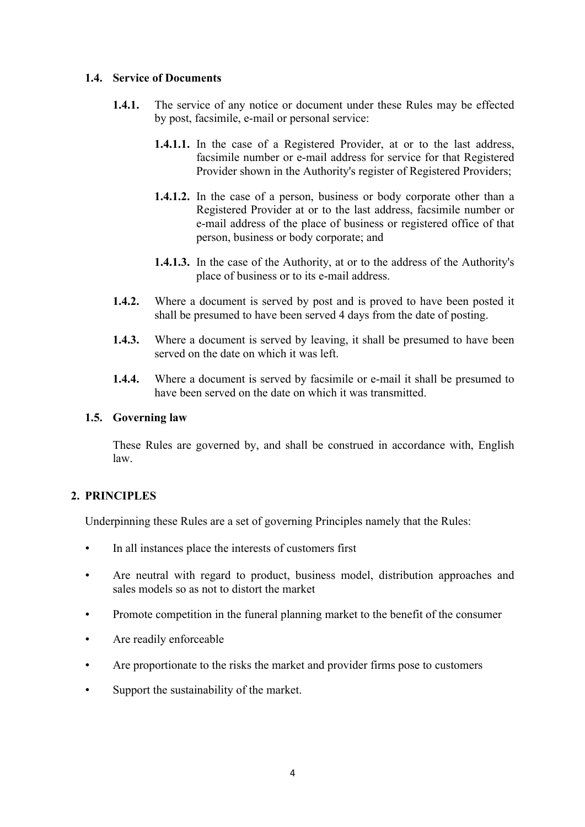### **1.4. Service of Documents**

- **1.4.1.** The service of any notice or document under these Rules may be effected by post, facsimile, e-mail or personal service:
	- **1.4.1.1.** In the case of a Registered Provider, at or to the last address, facsimile number or e-mail address for service for that Registered Provider shown in the Authority's register of Registered Providers;
	- **1.4.1.2.** In the case of a person, business or body corporate other than a Registered Provider at or to the last address, facsimile number or e-mail address of the place of business or registered office of that person, business or body corporate; and
	- **1.4.1.3.** In the case of the Authority, at or to the address of the Authority's place of business or to its e-mail address.
- **1.4.2.** Where a document is served by post and is proved to have been posted it shall be presumed to have been served 4 days from the date of posting.
- **1.4.3.** Where a document is served by leaving, it shall be presumed to have been served on the date on which it was left.
- **1.4.4.** Where a document is served by facsimile or e-mail it shall be presumed to have been served on the date on which it was transmitted.

### **1.5. Governing law**

These Rules are governed by, and shall be construed in accordance with, English law.

# **2. PRINCIPLES**

Underpinning these Rules are a set of governing Principles namely that the Rules:

- In all instances place the interests of customers first
- Are neutral with regard to product, business model, distribution approaches and sales models so as not to distort the market
- Promote competition in the funeral planning market to the benefit of the consumer
- Are readily enforceable
- Are proportionate to the risks the market and provider firms pose to customers
- Support the sustainability of the market.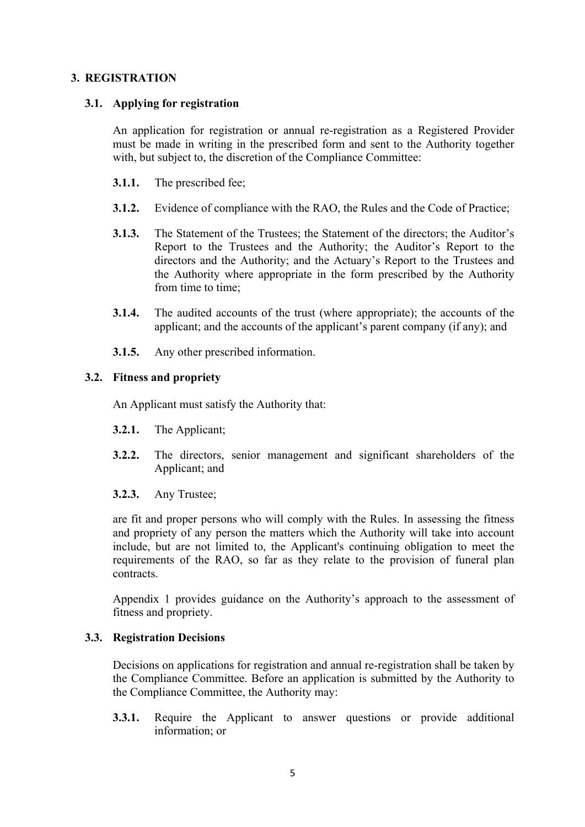# **3. REGISTRATION**

### **3.1. Applying for registration**

An application for registration or annual re-registration as a Registered Provider must be made in writing in the prescribed form and sent to the Authority together with, but subject to, the discretion of the Compliance Committee:

- **3.1.1.** The prescribed fee;
- **3.1.2.** Evidence of compliance with the RAO, the Rules and the Code of Practice;
- **3.1.3.** The Statement of the Trustees; the Statement of the directors; the Auditor's Report to the Trustees and the Authority; the Auditor's Report to the directors and the Authority; and the Actuary's Report to the Trustees and the Authority where appropriate in the form prescribed by the Authority from time to time:
- **3.1.4.** The audited accounts of the trust (where appropriate); the accounts of the applicant; and the accounts of the applicant's parent company (if any); and
- **3.1.5.** Any other prescribed information.

### **3.2. Fitness and propriety**

An Applicant must satisfy the Authority that:

- **3.2.1.** The Applicant;
- **3.2.2.** The directors, senior management and significant shareholders of the Applicant; and
- **3.2.3.** Any Trustee;

are fit and proper persons who will comply with the Rules. In assessing the fitness and propriety of any person the matters which the Authority will take into account include, but are not limited to, the Applicant's continuing obligation to meet the requirements of the RAO, so far as they relate to the provision of funeral plan contracts.

Appendix 1 provides guidance on the Authority's approach to the assessment of fitness and propriety.

### **3.3. Registration Decisions**

Decisions on applications for registration and annual re-registration shall be taken by the Compliance Committee. Before an application is submitted by the Authority to the Compliance Committee, the Authority may:

**3.3.1.** Require the Applicant to answer questions or provide additional information; or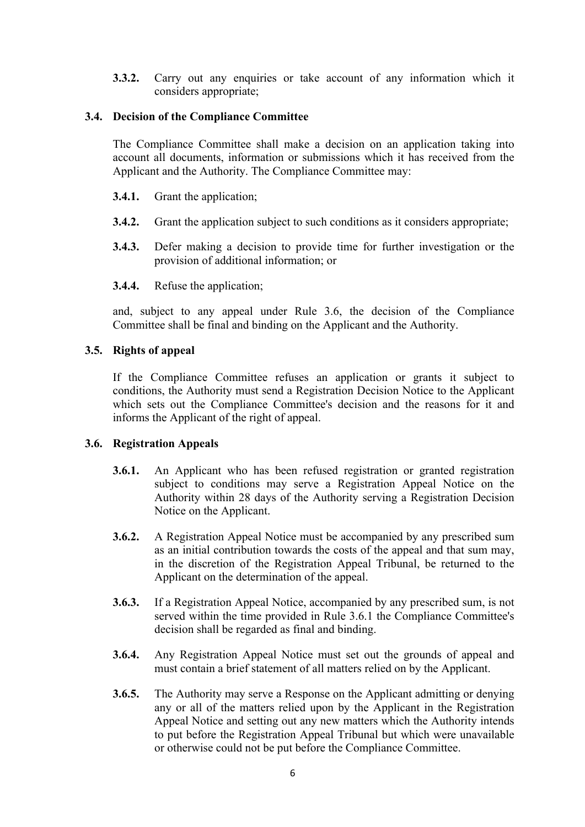**3.3.2.** Carry out any enquiries or take account of any information which it considers appropriate;

### **3.4. Decision of the Compliance Committee**

The Compliance Committee shall make a decision on an application taking into account all documents, information or submissions which it has received from the Applicant and the Authority. The Compliance Committee may:

- **3.4.1.** Grant the application;
- **3.4.2.** Grant the application subject to such conditions as it considers appropriate:
- **3.4.3.** Defer making a decision to provide time for further investigation or the provision of additional information; or
- **3.4.4.** Refuse the application;

and, subject to any appeal under Rule 3.6, the decision of the Compliance Committee shall be final and binding on the Applicant and the Authority.

### **3.5. Rights of appeal**

If the Compliance Committee refuses an application or grants it subject to conditions, the Authority must send a Registration Decision Notice to the Applicant which sets out the Compliance Committee's decision and the reasons for it and informs the Applicant of the right of appeal.

### **3.6. Registration Appeals**

- **3.6.1.** An Applicant who has been refused registration or granted registration subject to conditions may serve a Registration Appeal Notice on the Authority within 28 days of the Authority serving a Registration Decision Notice on the Applicant.
- **3.6.2.** A Registration Appeal Notice must be accompanied by any prescribed sum as an initial contribution towards the costs of the appeal and that sum may, in the discretion of the Registration Appeal Tribunal, be returned to the Applicant on the determination of the appeal.
- **3.6.3.** If a Registration Appeal Notice, accompanied by any prescribed sum, is not served within the time provided in Rule 3.6.1 the Compliance Committee's decision shall be regarded as final and binding.
- **3.6.4.** Any Registration Appeal Notice must set out the grounds of appeal and must contain a brief statement of all matters relied on by the Applicant.
- **3.6.5.** The Authority may serve a Response on the Applicant admitting or denying any or all of the matters relied upon by the Applicant in the Registration Appeal Notice and setting out any new matters which the Authority intends to put before the Registration Appeal Tribunal but which were unavailable or otherwise could not be put before the Compliance Committee.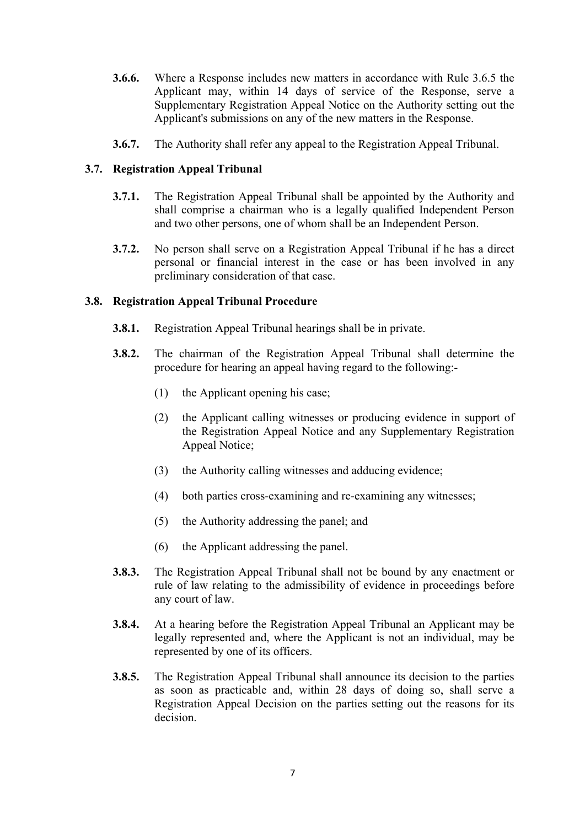- **3.6.6.** Where a Response includes new matters in accordance with Rule 3.6.5 the Applicant may, within 14 days of service of the Response, serve a Supplementary Registration Appeal Notice on the Authority setting out the Applicant's submissions on any of the new matters in the Response.
- **3.6.7.** The Authority shall refer any appeal to the Registration Appeal Tribunal.

# **3.7. Registration Appeal Tribunal**

- **3.7.1.** The Registration Appeal Tribunal shall be appointed by the Authority and shall comprise a chairman who is a legally qualified Independent Person and two other persons, one of whom shall be an Independent Person.
- **3.7.2.** No person shall serve on a Registration Appeal Tribunal if he has a direct personal or financial interest in the case or has been involved in any preliminary consideration of that case.

### **3.8. Registration Appeal Tribunal Procedure**

- **3.8.1.** Registration Appeal Tribunal hearings shall be in private.
- **3.8.2.** The chairman of the Registration Appeal Tribunal shall determine the procedure for hearing an appeal having regard to the following:-
	- (1) the Applicant opening his case;
	- (2) the Applicant calling witnesses or producing evidence in support of the Registration Appeal Notice and any Supplementary Registration Appeal Notice;
	- (3) the Authority calling witnesses and adducing evidence;
	- (4) both parties cross-examining and re-examining any witnesses;
	- (5) the Authority addressing the panel; and
	- (6) the Applicant addressing the panel.
- **3.8.3.** The Registration Appeal Tribunal shall not be bound by any enactment or rule of law relating to the admissibility of evidence in proceedings before any court of law.
- **3.8.4.** At a hearing before the Registration Appeal Tribunal an Applicant may be legally represented and, where the Applicant is not an individual, may be represented by one of its officers.
- **3.8.5.** The Registration Appeal Tribunal shall announce its decision to the parties as soon as practicable and, within 28 days of doing so, shall serve a Registration Appeal Decision on the parties setting out the reasons for its decision.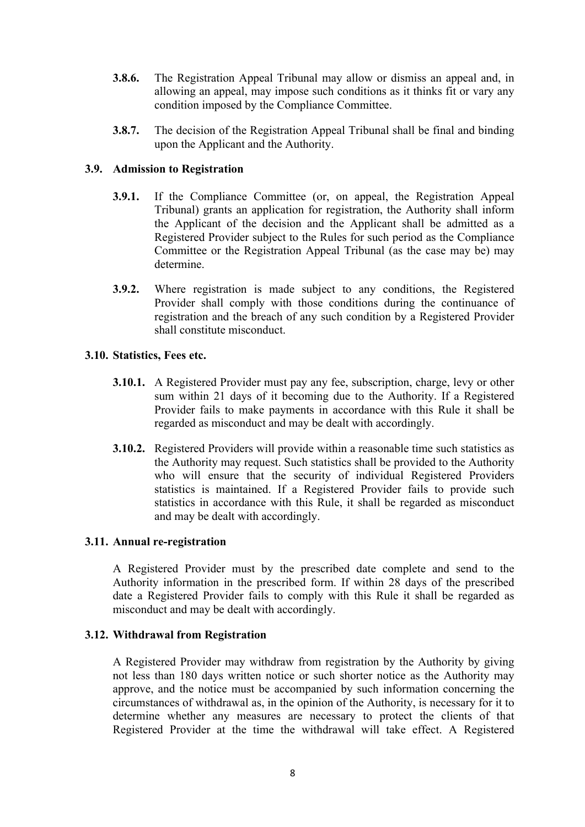- **3.8.6.** The Registration Appeal Tribunal may allow or dismiss an appeal and, in allowing an appeal, may impose such conditions as it thinks fit or vary any condition imposed by the Compliance Committee.
- **3.8.7.** The decision of the Registration Appeal Tribunal shall be final and binding upon the Applicant and the Authority.

### **3.9. Admission to Registration**

- **3.9.1.** If the Compliance Committee (or, on appeal, the Registration Appeal Tribunal) grants an application for registration, the Authority shall inform the Applicant of the decision and the Applicant shall be admitted as a Registered Provider subject to the Rules for such period as the Compliance Committee or the Registration Appeal Tribunal (as the case may be) may determine.
- **3.9.2.** Where registration is made subject to any conditions, the Registered Provider shall comply with those conditions during the continuance of registration and the breach of any such condition by a Registered Provider shall constitute misconduct.

### **3.10. Statistics, Fees etc.**

- **3.10.1.** A Registered Provider must pay any fee, subscription, charge, levy or other sum within 21 days of it becoming due to the Authority. If a Registered Provider fails to make payments in accordance with this Rule it shall be regarded as misconduct and may be dealt with accordingly.
- **3.10.2.** Registered Providers will provide within a reasonable time such statistics as the Authority may request. Such statistics shall be provided to the Authority who will ensure that the security of individual Registered Providers statistics is maintained. If a Registered Provider fails to provide such statistics in accordance with this Rule, it shall be regarded as misconduct and may be dealt with accordingly.

### **3.11. Annual re-registration**

A Registered Provider must by the prescribed date complete and send to the Authority information in the prescribed form. If within 28 days of the prescribed date a Registered Provider fails to comply with this Rule it shall be regarded as misconduct and may be dealt with accordingly.

### **3.12. Withdrawal from Registration**

A Registered Provider may withdraw from registration by the Authority by giving not less than 180 days written notice or such shorter notice as the Authority may approve, and the notice must be accompanied by such information concerning the circumstances of withdrawal as, in the opinion of the Authority, is necessary for it to determine whether any measures are necessary to protect the clients of that Registered Provider at the time the withdrawal will take effect. A Registered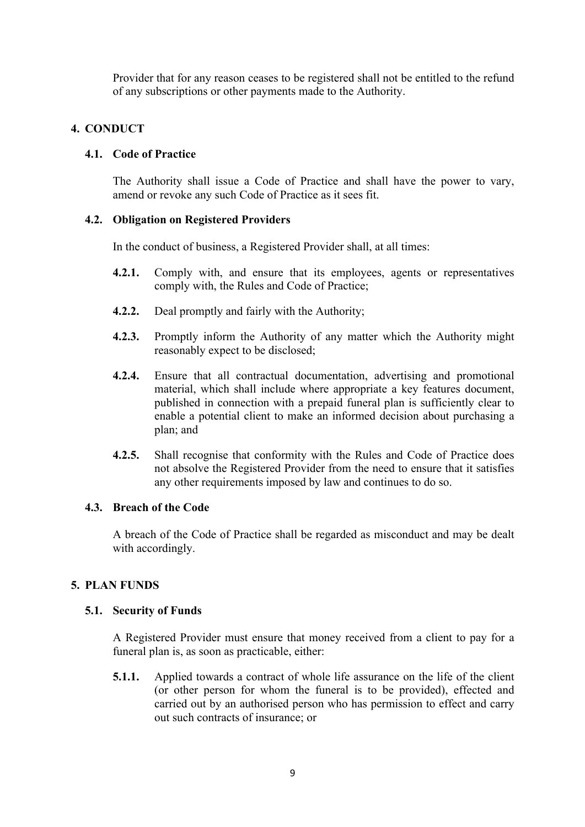Provider that for any reason ceases to be registered shall not be entitled to the refund of any subscriptions or other payments made to the Authority.

# **4. CONDUCT**

### **4.1. Code of Practice**

The Authority shall issue a Code of Practice and shall have the power to vary, amend or revoke any such Code of Practice as it sees fit.

# **4.2. Obligation on Registered Providers**

In the conduct of business, a Registered Provider shall, at all times:

- **4.2.1.** Comply with, and ensure that its employees, agents or representatives comply with, the Rules and Code of Practice;
- **4.2.2.** Deal promptly and fairly with the Authority;
- **4.2.3.** Promptly inform the Authority of any matter which the Authority might reasonably expect to be disclosed;
- **4.2.4.** Ensure that all contractual documentation, advertising and promotional material, which shall include where appropriate a key features document, published in connection with a prepaid funeral plan is sufficiently clear to enable a potential client to make an informed decision about purchasing a plan; and
- **4.2.5.** Shall recognise that conformity with the Rules and Code of Practice does not absolve the Registered Provider from the need to ensure that it satisfies any other requirements imposed by law and continues to do so.

### **4.3. Breach of the Code**

A breach of the Code of Practice shall be regarded as misconduct and may be dealt with accordingly.

# **5. PLAN FUNDS**

### **5.1. Security of Funds**

A Registered Provider must ensure that money received from a client to pay for a funeral plan is, as soon as practicable, either:

**5.1.1.** Applied towards a contract of whole life assurance on the life of the client (or other person for whom the funeral is to be provided), effected and carried out by an authorised person who has permission to effect and carry out such contracts of insurance; or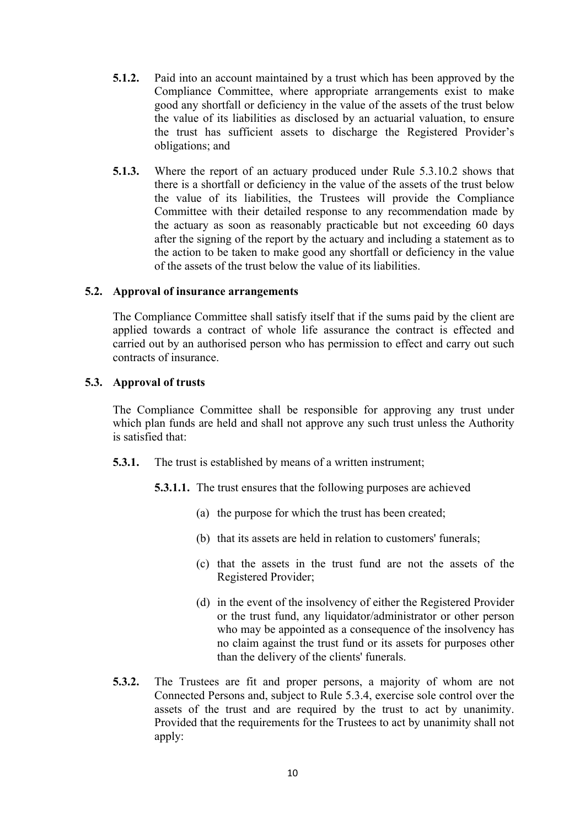- **5.1.2.** Paid into an account maintained by a trust which has been approved by the Compliance Committee, where appropriate arrangements exist to make good any shortfall or deficiency in the value of the assets of the trust below the value of its liabilities as disclosed by an actuarial valuation, to ensure the trust has sufficient assets to discharge the Registered Provider's obligations; and
- **5.1.3.** Where the report of an actuary produced under Rule 5.3.10.2 shows that there is a shortfall or deficiency in the value of the assets of the trust below the value of its liabilities, the Trustees will provide the Compliance Committee with their detailed response to any recommendation made by the actuary as soon as reasonably practicable but not exceeding 60 days after the signing of the report by the actuary and including a statement as to the action to be taken to make good any shortfall or deficiency in the value of the assets of the trust below the value of its liabilities.

### **5.2. Approval of insurance arrangements**

The Compliance Committee shall satisfy itself that if the sums paid by the client are applied towards a contract of whole life assurance the contract is effected and carried out by an authorised person who has permission to effect and carry out such contracts of insurance.

#### **5.3. Approval of trusts**

The Compliance Committee shall be responsible for approving any trust under which plan funds are held and shall not approve any such trust unless the Authority is satisfied that:

- **5.3.1.** The trust is established by means of a written instrument;
	- **5.3.1.1.** The trust ensures that the following purposes are achieved
		- (a) the purpose for which the trust has been created;
		- (b) that its assets are held in relation to customers' funerals;
		- (c) that the assets in the trust fund are not the assets of the Registered Provider;
		- (d) in the event of the insolvency of either the Registered Provider or the trust fund, any liquidator/administrator or other person who may be appointed as a consequence of the insolvency has no claim against the trust fund or its assets for purposes other than the delivery of the clients' funerals.
- **5.3.2.** The Trustees are fit and proper persons, a majority of whom are not Connected Persons and, subject to Rule 5.3.4, exercise sole control over the assets of the trust and are required by the trust to act by unanimity. Provided that the requirements for the Trustees to act by unanimity shall not apply: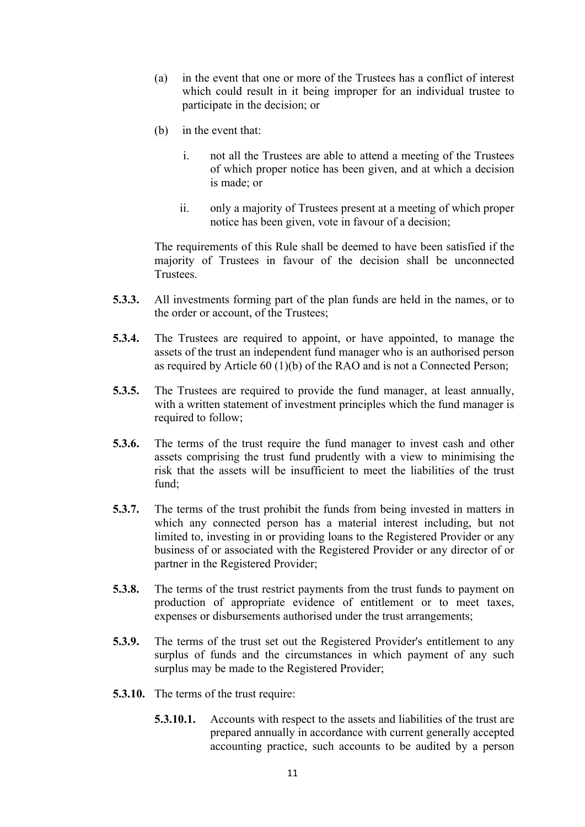- (a) in the event that one or more of the Trustees has a conflict of interest which could result in it being improper for an individual trustee to participate in the decision; or
- (b) in the event that:
	- i. not all the Trustees are able to attend a meeting of the Trustees of which proper notice has been given, and at which a decision is made; or
	- ii. only a majority of Trustees present at a meeting of which proper notice has been given, vote in favour of a decision;

The requirements of this Rule shall be deemed to have been satisfied if the majority of Trustees in favour of the decision shall be unconnected **Trustees** 

- **5.3.3.** All investments forming part of the plan funds are held in the names, or to the order or account, of the Trustees;
- **5.3.4.** The Trustees are required to appoint, or have appointed, to manage the assets of the trust an independent fund manager who is an authorised person as required by Article 60 (1)(b) of the RAO and is not a Connected Person;
- **5.3.5.** The Trustees are required to provide the fund manager, at least annually, with a written statement of investment principles which the fund manager is required to follow;
- **5.3.6.** The terms of the trust require the fund manager to invest cash and other assets comprising the trust fund prudently with a view to minimising the risk that the assets will be insufficient to meet the liabilities of the trust fund;
- **5.3.7.** The terms of the trust prohibit the funds from being invested in matters in which any connected person has a material interest including, but not limited to, investing in or providing loans to the Registered Provider or any business of or associated with the Registered Provider or any director of or partner in the Registered Provider;
- **5.3.8.** The terms of the trust restrict payments from the trust funds to payment on production of appropriate evidence of entitlement or to meet taxes, expenses or disbursements authorised under the trust arrangements;
- **5.3.9.** The terms of the trust set out the Registered Provider's entitlement to any surplus of funds and the circumstances in which payment of any such surplus may be made to the Registered Provider;
- **5.3.10.** The terms of the trust require:
	- **5.3.10.1.** Accounts with respect to the assets and liabilities of the trust are prepared annually in accordance with current generally accepted accounting practice, such accounts to be audited by a person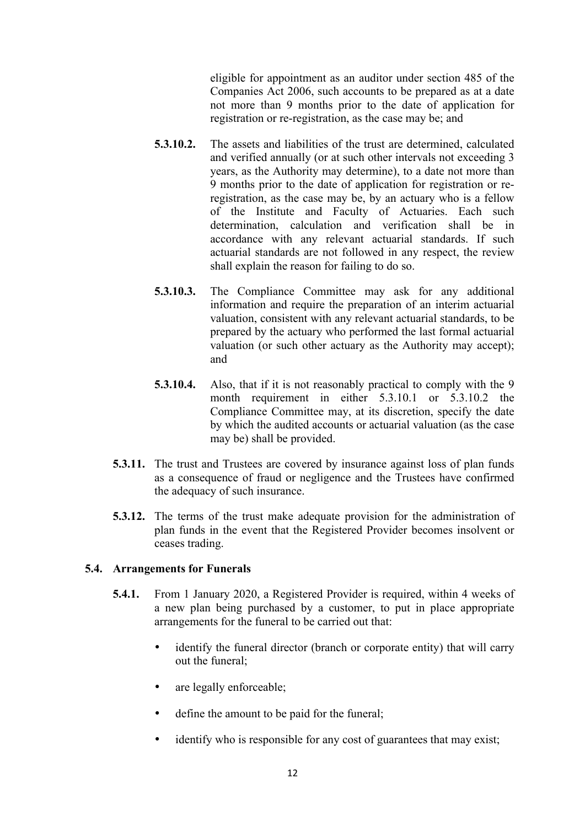eligible for appointment as an auditor under section 485 of the Companies Act 2006, such accounts to be prepared as at a date not more than 9 months prior to the date of application for registration or re-registration, as the case may be; and

- **5.3.10.2.** The assets and liabilities of the trust are determined, calculated and verified annually (or at such other intervals not exceeding 3 years, as the Authority may determine), to a date not more than 9 months prior to the date of application for registration or reregistration, as the case may be, by an actuary who is a fellow of the Institute and Faculty of Actuaries. Each such determination, calculation and verification shall be in accordance with any relevant actuarial standards. If such actuarial standards are not followed in any respect, the review shall explain the reason for failing to do so.
- **5.3.10.3.** The Compliance Committee may ask for any additional information and require the preparation of an interim actuarial valuation, consistent with any relevant actuarial standards, to be prepared by the actuary who performed the last formal actuarial valuation (or such other actuary as the Authority may accept); and
- **5.3.10.4.** Also, that if it is not reasonably practical to comply with the 9 month requirement in either 5.3.10.1 or 5.3.10.2 the Compliance Committee may, at its discretion, specify the date by which the audited accounts or actuarial valuation (as the case may be) shall be provided.
- **5.3.11.** The trust and Trustees are covered by insurance against loss of plan funds as a consequence of fraud or negligence and the Trustees have confirmed the adequacy of such insurance.
- **5.3.12.** The terms of the trust make adequate provision for the administration of plan funds in the event that the Registered Provider becomes insolvent or ceases trading.

### **5.4. Arrangements for Funerals**

- **5.4.1.** From 1 January 2020, a Registered Provider is required, within 4 weeks of a new plan being purchased by a customer, to put in place appropriate arrangements for the funeral to be carried out that:
	- identify the funeral director (branch or corporate entity) that will carry out the funeral;
	- are legally enforceable;
	- define the amount to be paid for the funeral;
	- identify who is responsible for any cost of guarantees that may exist;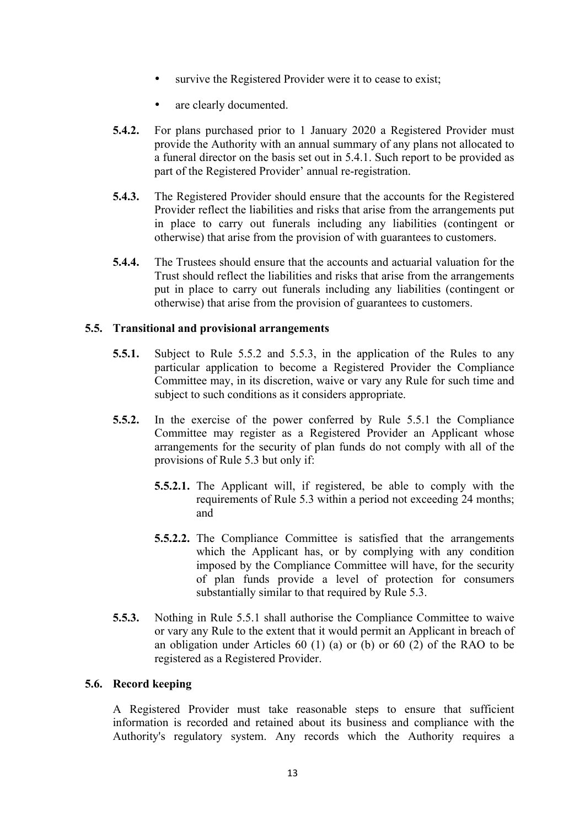- survive the Registered Provider were it to cease to exist;
- are clearly documented.
- **5.4.2.** For plans purchased prior to 1 January 2020 a Registered Provider must provide the Authority with an annual summary of any plans not allocated to a funeral director on the basis set out in 5.4.1. Such report to be provided as part of the Registered Provider' annual re-registration.
- **5.4.3.** The Registered Provider should ensure that the accounts for the Registered Provider reflect the liabilities and risks that arise from the arrangements put in place to carry out funerals including any liabilities (contingent or otherwise) that arise from the provision of with guarantees to customers.
- **5.4.4.** The Trustees should ensure that the accounts and actuarial valuation for the Trust should reflect the liabilities and risks that arise from the arrangements put in place to carry out funerals including any liabilities (contingent or otherwise) that arise from the provision of guarantees to customers.

### **5.5. Transitional and provisional arrangements**

- **5.5.1.** Subject to Rule 5.5.2 and 5.5.3, in the application of the Rules to any particular application to become a Registered Provider the Compliance Committee may, in its discretion, waive or vary any Rule for such time and subject to such conditions as it considers appropriate.
- **5.5.2.** In the exercise of the power conferred by Rule 5.5.1 the Compliance Committee may register as a Registered Provider an Applicant whose arrangements for the security of plan funds do not comply with all of the provisions of Rule 5.3 but only if:
	- **5.5.2.1.** The Applicant will, if registered, be able to comply with the requirements of Rule 5.3 within a period not exceeding 24 months; and
	- **5.5.2.2.** The Compliance Committee is satisfied that the arrangements which the Applicant has, or by complying with any condition imposed by the Compliance Committee will have, for the security of plan funds provide a level of protection for consumers substantially similar to that required by Rule 5.3.
- **5.5.3.** Nothing in Rule 5.5.1 shall authorise the Compliance Committee to waive or vary any Rule to the extent that it would permit an Applicant in breach of an obligation under Articles 60 (1) (a) or (b) or 60 (2) of the RAO to be registered as a Registered Provider.

### **5.6. Record keeping**

A Registered Provider must take reasonable steps to ensure that sufficient information is recorded and retained about its business and compliance with the Authority's regulatory system. Any records which the Authority requires a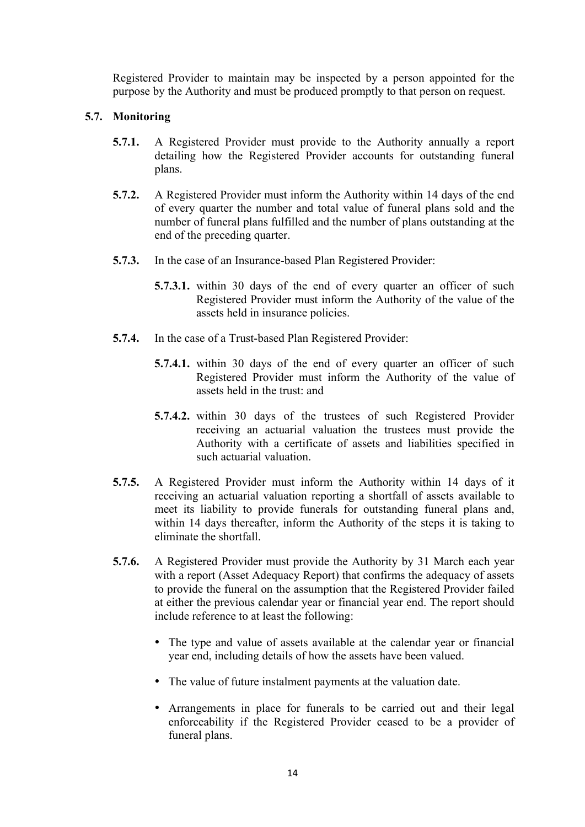Registered Provider to maintain may be inspected by a person appointed for the purpose by the Authority and must be produced promptly to that person on request.

# **5.7. Monitoring**

- **5.7.1.** A Registered Provider must provide to the Authority annually a report detailing how the Registered Provider accounts for outstanding funeral plans.
- **5.7.2.** A Registered Provider must inform the Authority within 14 days of the end of every quarter the number and total value of funeral plans sold and the number of funeral plans fulfilled and the number of plans outstanding at the end of the preceding quarter.
- **5.7.3.** In the case of an Insurance-based Plan Registered Provider:
	- **5.7.3.1.** within 30 days of the end of every quarter an officer of such Registered Provider must inform the Authority of the value of the assets held in insurance policies.
- **5.7.4.** In the case of a Trust-based Plan Registered Provider:
	- **5.7.4.1.** within 30 days of the end of every quarter an officer of such Registered Provider must inform the Authority of the value of assets held in the trust: and
	- **5.7.4.2.** within 30 days of the trustees of such Registered Provider receiving an actuarial valuation the trustees must provide the Authority with a certificate of assets and liabilities specified in such actuarial valuation.
- **5.7.5.** A Registered Provider must inform the Authority within 14 days of it receiving an actuarial valuation reporting a shortfall of assets available to meet its liability to provide funerals for outstanding funeral plans and, within 14 days thereafter, inform the Authority of the steps it is taking to eliminate the shortfall.
- **5.7.6.** A Registered Provider must provide the Authority by 31 March each year with a report (Asset Adequacy Report) that confirms the adequacy of assets to provide the funeral on the assumption that the Registered Provider failed at either the previous calendar year or financial year end. The report should include reference to at least the following:
	- The type and value of assets available at the calendar year or financial year end, including details of how the assets have been valued.
	- The value of future instalment payments at the valuation date.
	- Arrangements in place for funerals to be carried out and their legal enforceability if the Registered Provider ceased to be a provider of funeral plans.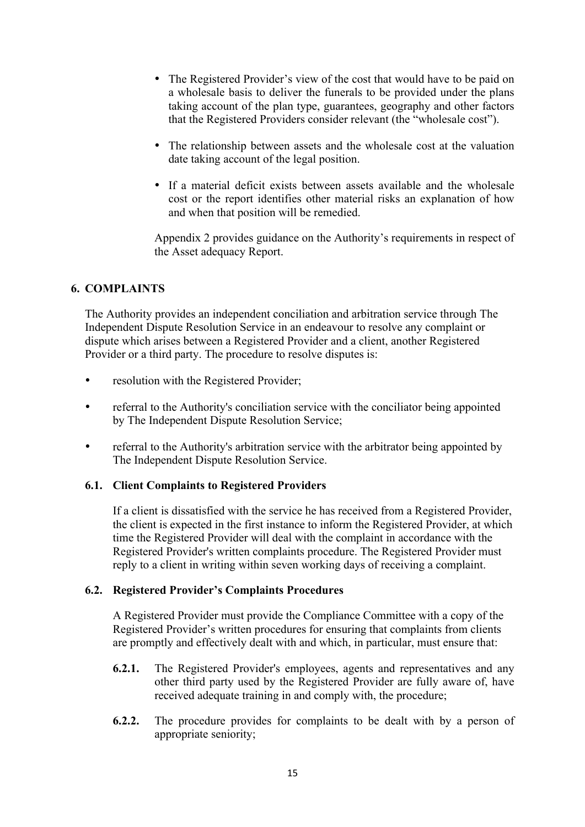- The Registered Provider's view of the cost that would have to be paid on a wholesale basis to deliver the funerals to be provided under the plans taking account of the plan type, guarantees, geography and other factors that the Registered Providers consider relevant (the "wholesale cost").
- The relationship between assets and the wholesale cost at the valuation date taking account of the legal position.
- If a material deficit exists between assets available and the wholesale cost or the report identifies other material risks an explanation of how and when that position will be remedied.

Appendix 2 provides guidance on the Authority's requirements in respect of the Asset adequacy Report.

# **6. COMPLAINTS**

The Authority provides an independent conciliation and arbitration service through The Independent Dispute Resolution Service in an endeavour to resolve any complaint or dispute which arises between a Registered Provider and a client, another Registered Provider or a third party. The procedure to resolve disputes is:

- resolution with the Registered Provider;
- referral to the Authority's conciliation service with the conciliator being appointed by The Independent Dispute Resolution Service;
- referral to the Authority's arbitration service with the arbitrator being appointed by The Independent Dispute Resolution Service.

# **6.1. Client Complaints to Registered Providers**

If a client is dissatisfied with the service he has received from a Registered Provider, the client is expected in the first instance to inform the Registered Provider, at which time the Registered Provider will deal with the complaint in accordance with the Registered Provider's written complaints procedure. The Registered Provider must reply to a client in writing within seven working days of receiving a complaint.

### **6.2. Registered Provider's Complaints Procedures**

A Registered Provider must provide the Compliance Committee with a copy of the Registered Provider's written procedures for ensuring that complaints from clients are promptly and effectively dealt with and which, in particular, must ensure that:

- **6.2.1.** The Registered Provider's employees, agents and representatives and any other third party used by the Registered Provider are fully aware of, have received adequate training in and comply with, the procedure;
- **6.2.2.** The procedure provides for complaints to be dealt with by a person of appropriate seniority;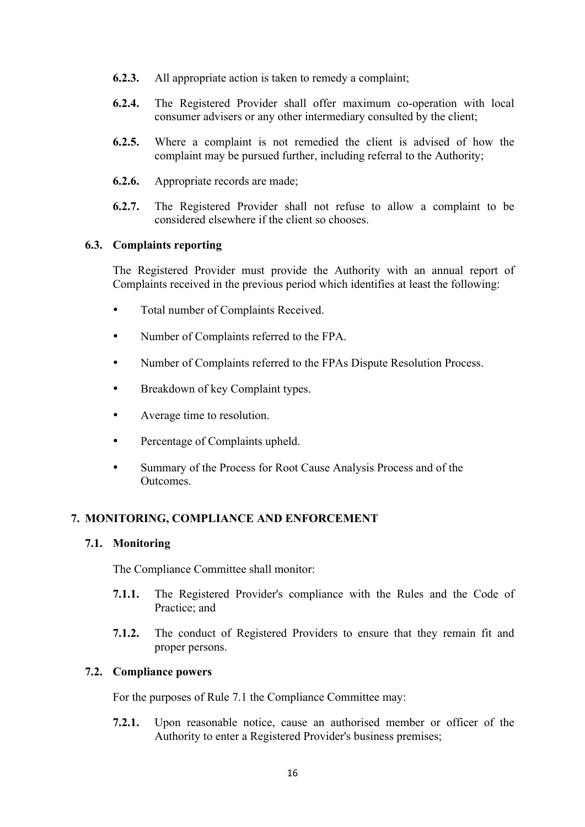- **6.2.3.** All appropriate action is taken to remedy a complaint;
- **6.2.4.** The Registered Provider shall offer maximum co-operation with local consumer advisers or any other intermediary consulted by the client;
- **6.2.5.** Where a complaint is not remedied the client is advised of how the complaint may be pursued further, including referral to the Authority;
- **6.2.6.** Appropriate records are made;
- **6.2.7.** The Registered Provider shall not refuse to allow a complaint to be considered elsewhere if the client so chooses.

### **6.3. Complaints reporting**

The Registered Provider must provide the Authority with an annual report of Complaints received in the previous period which identifies at least the following:

- Total number of Complaints Received.
- Number of Complaints referred to the FPA.
- Number of Complaints referred to the FPAs Dispute Resolution Process.
- Breakdown of key Complaint types.
- Average time to resolution.
- Percentage of Complaints upheld.
- Summary of the Process for Root Cause Analysis Process and of the **Outcomes**

### **7. MONITORING, COMPLIANCE AND ENFORCEMENT**

### **7.1. Monitoring**

The Compliance Committee shall monitor:

- **7.1.1.** The Registered Provider's compliance with the Rules and the Code of Practice; and
- **7.1.2.** The conduct of Registered Providers to ensure that they remain fit and proper persons.

### **7.2. Compliance powers**

For the purposes of Rule 7.1 the Compliance Committee may:

**7.2.1.** Upon reasonable notice, cause an authorised member or officer of the Authority to enter a Registered Provider's business premises;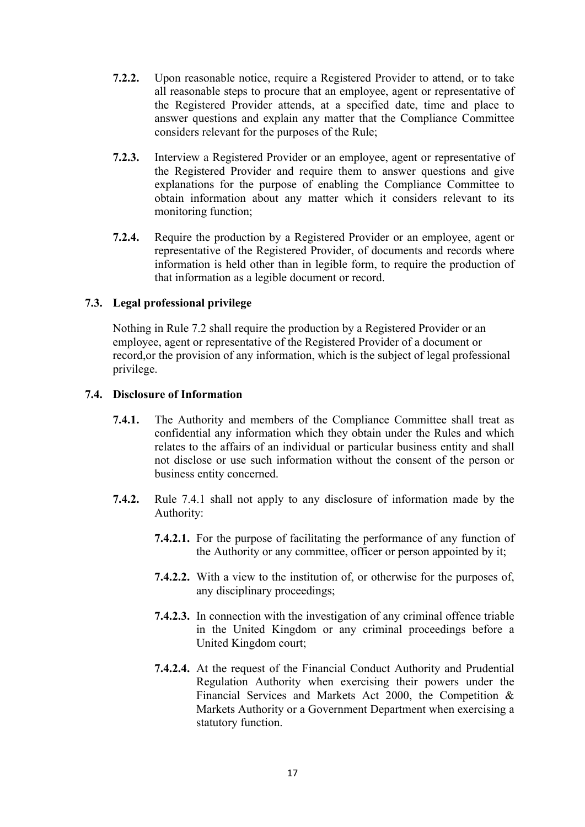- **7.2.2.** Upon reasonable notice, require a Registered Provider to attend, or to take all reasonable steps to procure that an employee, agent or representative of the Registered Provider attends, at a specified date, time and place to answer questions and explain any matter that the Compliance Committee considers relevant for the purposes of the Rule;
- **7.2.3.** Interview a Registered Provider or an employee, agent or representative of the Registered Provider and require them to answer questions and give explanations for the purpose of enabling the Compliance Committee to obtain information about any matter which it considers relevant to its monitoring function;
- **7.2.4.** Require the production by a Registered Provider or an employee, agent or representative of the Registered Provider, of documents and records where information is held other than in legible form, to require the production of that information as a legible document or record.

# **7.3. Legal professional privilege**

Nothing in Rule 7.2 shall require the production by a Registered Provider or an employee, agent or representative of the Registered Provider of a document or record,or the provision of any information, which is the subject of legal professional privilege.

### **7.4. Disclosure of Information**

- **7.4.1.** The Authority and members of the Compliance Committee shall treat as confidential any information which they obtain under the Rules and which relates to the affairs of an individual or particular business entity and shall not disclose or use such information without the consent of the person or business entity concerned.
- **7.4.2.** Rule 7.4.1 shall not apply to any disclosure of information made by the Authority:
	- **7.4.2.1.** For the purpose of facilitating the performance of any function of the Authority or any committee, officer or person appointed by it;
	- **7.4.2.2.** With a view to the institution of, or otherwise for the purposes of, any disciplinary proceedings;
	- **7.4.2.3.** In connection with the investigation of any criminal offence triable in the United Kingdom or any criminal proceedings before a United Kingdom court;
	- **7.4.2.4.** At the request of the Financial Conduct Authority and Prudential Regulation Authority when exercising their powers under the Financial Services and Markets Act 2000, the Competition & Markets Authority or a Government Department when exercising a statutory function.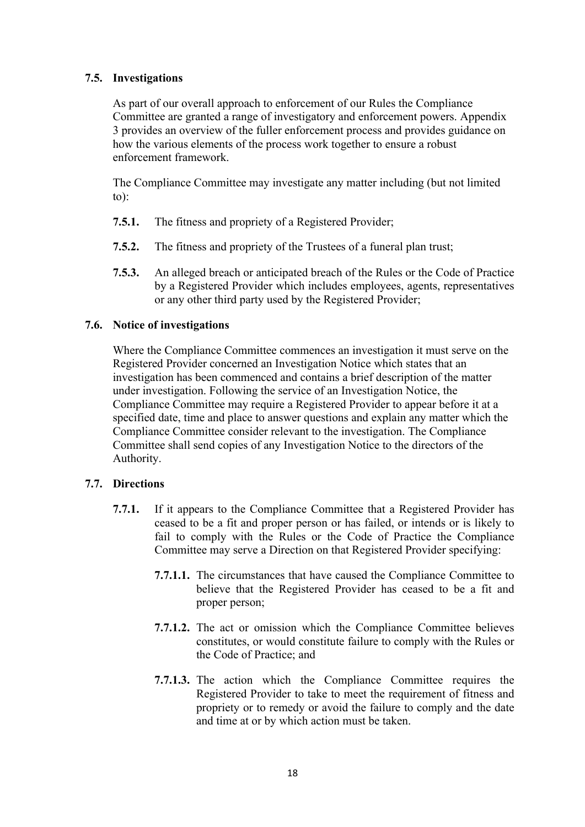# **7.5. Investigations**

As part of our overall approach to enforcement of our Rules the Compliance Committee are granted a range of investigatory and enforcement powers. Appendix 3 provides an overview of the fuller enforcement process and provides guidance on how the various elements of the process work together to ensure a robust enforcement framework.

The Compliance Committee may investigate any matter including (but not limited to):

- **7.5.1.** The fitness and propriety of a Registered Provider;
- **7.5.2.** The fitness and propriety of the Trustees of a funeral plan trust;
- **7.5.3.** An alleged breach or anticipated breach of the Rules or the Code of Practice by a Registered Provider which includes employees, agents, representatives or any other third party used by the Registered Provider;

### **7.6. Notice of investigations**

Where the Compliance Committee commences an investigation it must serve on the Registered Provider concerned an Investigation Notice which states that an investigation has been commenced and contains a brief description of the matter under investigation. Following the service of an Investigation Notice, the Compliance Committee may require a Registered Provider to appear before it at a specified date, time and place to answer questions and explain any matter which the Compliance Committee consider relevant to the investigation. The Compliance Committee shall send copies of any Investigation Notice to the directors of the Authority.

### **7.7. Directions**

- **7.7.1.** If it appears to the Compliance Committee that a Registered Provider has ceased to be a fit and proper person or has failed, or intends or is likely to fail to comply with the Rules or the Code of Practice the Compliance Committee may serve a Direction on that Registered Provider specifying:
	- **7.7.1.1.** The circumstances that have caused the Compliance Committee to believe that the Registered Provider has ceased to be a fit and proper person;
	- **7.7.1.2.** The act or omission which the Compliance Committee believes constitutes, or would constitute failure to comply with the Rules or the Code of Practice; and
	- **7.7.1.3.** The action which the Compliance Committee requires the Registered Provider to take to meet the requirement of fitness and propriety or to remedy or avoid the failure to comply and the date and time at or by which action must be taken.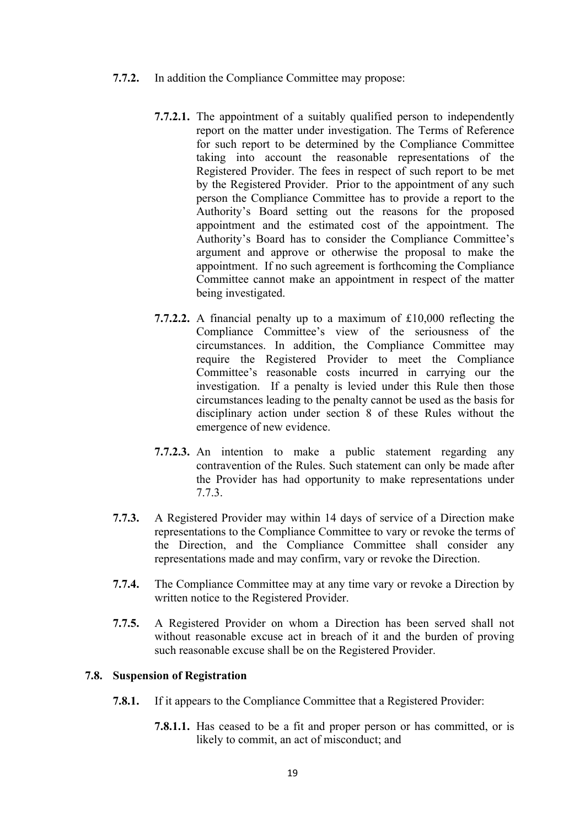- **7.7.2.** In addition the Compliance Committee may propose:
	- **7.7.2.1.** The appointment of a suitably qualified person to independently report on the matter under investigation. The Terms of Reference for such report to be determined by the Compliance Committee taking into account the reasonable representations of the Registered Provider. The fees in respect of such report to be met by the Registered Provider. Prior to the appointment of any such person the Compliance Committee has to provide a report to the Authority's Board setting out the reasons for the proposed appointment and the estimated cost of the appointment. The Authority's Board has to consider the Compliance Committee's argument and approve or otherwise the proposal to make the appointment. If no such agreement is forthcoming the Compliance Committee cannot make an appointment in respect of the matter being investigated.
	- **7.7.2.2.** A financial penalty up to a maximum of £10,000 reflecting the Compliance Committee's view of the seriousness of the circumstances. In addition, the Compliance Committee may require the Registered Provider to meet the Compliance Committee's reasonable costs incurred in carrying our the investigation. If a penalty is levied under this Rule then those circumstances leading to the penalty cannot be used as the basis for disciplinary action under section 8 of these Rules without the emergence of new evidence.
	- **7.7.2.3.** An intention to make a public statement regarding any contravention of the Rules. Such statement can only be made after the Provider has had opportunity to make representations under 7.7.3.
- **7.7.3.** A Registered Provider may within 14 days of service of a Direction make representations to the Compliance Committee to vary or revoke the terms of the Direction, and the Compliance Committee shall consider any representations made and may confirm, vary or revoke the Direction.
- **7.7.4.** The Compliance Committee may at any time vary or revoke a Direction by written notice to the Registered Provider.
- **7.7.5.** A Registered Provider on whom a Direction has been served shall not without reasonable excuse act in breach of it and the burden of proving such reasonable excuse shall be on the Registered Provider.

# **7.8. Suspension of Registration**

- **7.8.1.** If it appears to the Compliance Committee that a Registered Provider:
	- **7.8.1.1.** Has ceased to be a fit and proper person or has committed, or is likely to commit, an act of misconduct; and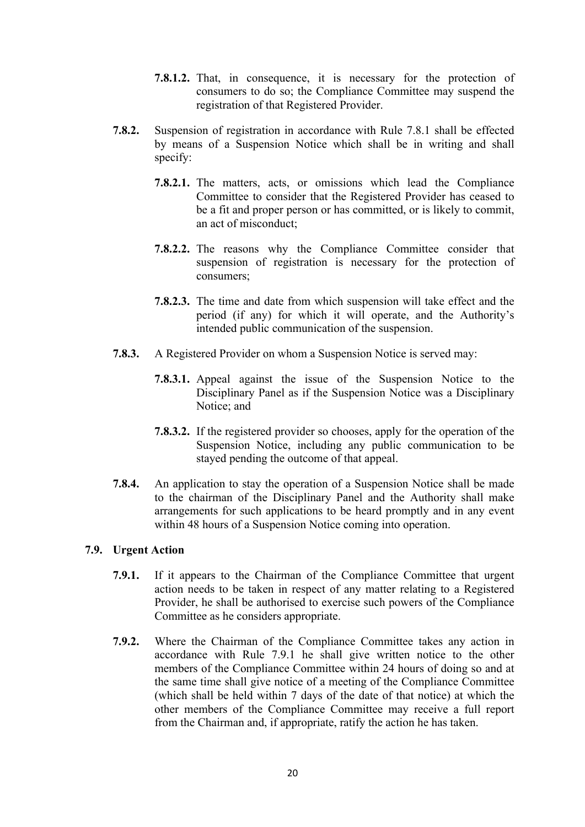- **7.8.1.2.** That, in consequence, it is necessary for the protection of consumers to do so; the Compliance Committee may suspend the registration of that Registered Provider.
- **7.8.2.** Suspension of registration in accordance with Rule 7.8.1 shall be effected by means of a Suspension Notice which shall be in writing and shall specify:
	- **7.8.2.1.** The matters, acts, or omissions which lead the Compliance Committee to consider that the Registered Provider has ceased to be a fit and proper person or has committed, or is likely to commit, an act of misconduct;
	- **7.8.2.2.** The reasons why the Compliance Committee consider that suspension of registration is necessary for the protection of consumers;
	- **7.8.2.3.** The time and date from which suspension will take effect and the period (if any) for which it will operate, and the Authority's intended public communication of the suspension.
- **7.8.3.** A Registered Provider on whom a Suspension Notice is served may:
	- **7.8.3.1.** Appeal against the issue of the Suspension Notice to the Disciplinary Panel as if the Suspension Notice was a Disciplinary Notice; and
	- **7.8.3.2.** If the registered provider so chooses, apply for the operation of the Suspension Notice, including any public communication to be stayed pending the outcome of that appeal.
- **7.8.4.** An application to stay the operation of a Suspension Notice shall be made to the chairman of the Disciplinary Panel and the Authority shall make arrangements for such applications to be heard promptly and in any event within 48 hours of a Suspension Notice coming into operation.

### **7.9. Urgent Action**

- **7.9.1.** If it appears to the Chairman of the Compliance Committee that urgent action needs to be taken in respect of any matter relating to a Registered Provider, he shall be authorised to exercise such powers of the Compliance Committee as he considers appropriate.
- **7.9.2.** Where the Chairman of the Compliance Committee takes any action in accordance with Rule 7.9.1 he shall give written notice to the other members of the Compliance Committee within 24 hours of doing so and at the same time shall give notice of a meeting of the Compliance Committee (which shall be held within 7 days of the date of that notice) at which the other members of the Compliance Committee may receive a full report from the Chairman and, if appropriate, ratify the action he has taken.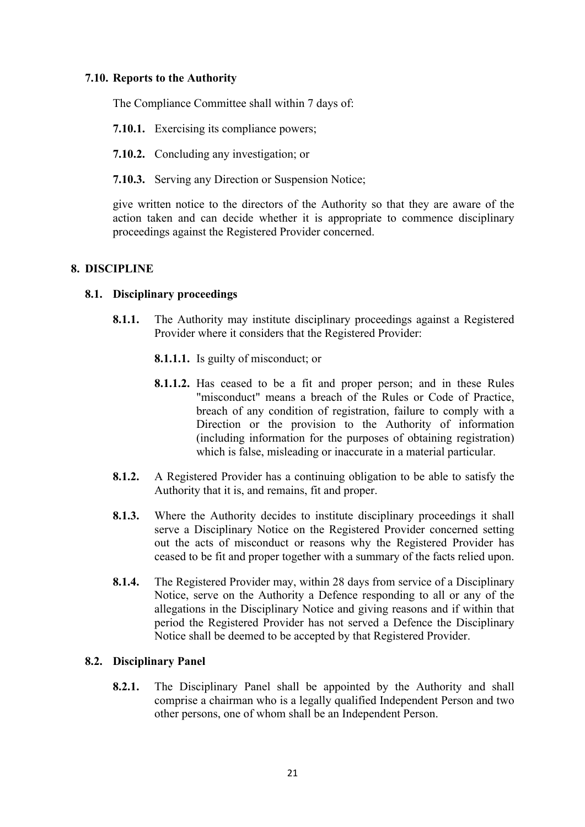### **7.10. Reports to the Authority**

The Compliance Committee shall within 7 days of:

- **7.10.1.** Exercising its compliance powers;
- **7.10.2.** Concluding any investigation; or
- **7.10.3.** Serving any Direction or Suspension Notice;

give written notice to the directors of the Authority so that they are aware of the action taken and can decide whether it is appropriate to commence disciplinary proceedings against the Registered Provider concerned.

#### **8. DISCIPLINE**

#### **8.1. Disciplinary proceedings**

- **8.1.1.** The Authority may institute disciplinary proceedings against a Registered Provider where it considers that the Registered Provider:
	- **8.1.1.1.** Is guilty of misconduct; or
	- **8.1.1.2.** Has ceased to be a fit and proper person; and in these Rules "misconduct" means a breach of the Rules or Code of Practice, breach of any condition of registration, failure to comply with a Direction or the provision to the Authority of information (including information for the purposes of obtaining registration) which is false, misleading or inaccurate in a material particular.
- **8.1.2.** A Registered Provider has a continuing obligation to be able to satisfy the Authority that it is, and remains, fit and proper.
- **8.1.3.** Where the Authority decides to institute disciplinary proceedings it shall serve a Disciplinary Notice on the Registered Provider concerned setting out the acts of misconduct or reasons why the Registered Provider has ceased to be fit and proper together with a summary of the facts relied upon.
- **8.1.4.** The Registered Provider may, within 28 days from service of a Disciplinary Notice, serve on the Authority a Defence responding to all or any of the allegations in the Disciplinary Notice and giving reasons and if within that period the Registered Provider has not served a Defence the Disciplinary Notice shall be deemed to be accepted by that Registered Provider.

### **8.2. Disciplinary Panel**

**8.2.1.** The Disciplinary Panel shall be appointed by the Authority and shall comprise a chairman who is a legally qualified Independent Person and two other persons, one of whom shall be an Independent Person.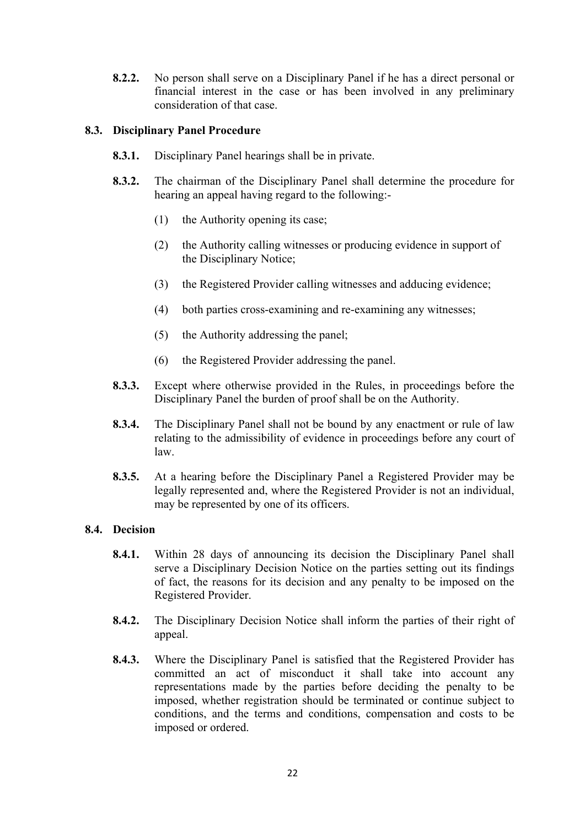**8.2.2.** No person shall serve on a Disciplinary Panel if he has a direct personal or financial interest in the case or has been involved in any preliminary consideration of that case.

### **8.3. Disciplinary Panel Procedure**

- **8.3.1.** Disciplinary Panel hearings shall be in private.
- **8.3.2.** The chairman of the Disciplinary Panel shall determine the procedure for hearing an appeal having regard to the following:-
	- (1) the Authority opening its case;
	- (2) the Authority calling witnesses or producing evidence in support of the Disciplinary Notice;
	- (3) the Registered Provider calling witnesses and adducing evidence;
	- (4) both parties cross-examining and re-examining any witnesses;
	- (5) the Authority addressing the panel;
	- (6) the Registered Provider addressing the panel.
- **8.3.3.** Except where otherwise provided in the Rules, in proceedings before the Disciplinary Panel the burden of proof shall be on the Authority.
- **8.3.4.** The Disciplinary Panel shall not be bound by any enactment or rule of law relating to the admissibility of evidence in proceedings before any court of law.
- **8.3.5.** At a hearing before the Disciplinary Panel a Registered Provider may be legally represented and, where the Registered Provider is not an individual, may be represented by one of its officers.

### **8.4. Decision**

- **8.4.1.** Within 28 days of announcing its decision the Disciplinary Panel shall serve a Disciplinary Decision Notice on the parties setting out its findings of fact, the reasons for its decision and any penalty to be imposed on the Registered Provider.
- **8.4.2.** The Disciplinary Decision Notice shall inform the parties of their right of appeal.
- **8.4.3.** Where the Disciplinary Panel is satisfied that the Registered Provider has committed an act of misconduct it shall take into account any representations made by the parties before deciding the penalty to be imposed, whether registration should be terminated or continue subject to conditions, and the terms and conditions, compensation and costs to be imposed or ordered.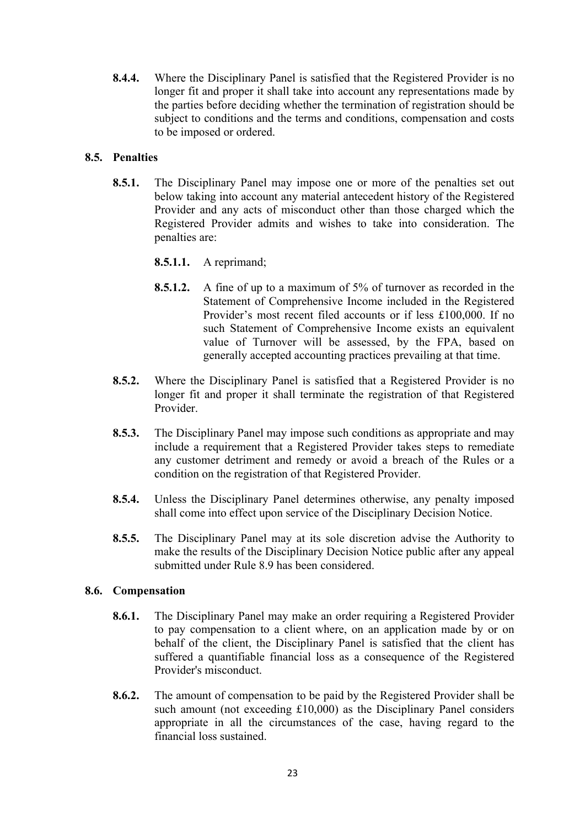**8.4.4.** Where the Disciplinary Panel is satisfied that the Registered Provider is no longer fit and proper it shall take into account any representations made by the parties before deciding whether the termination of registration should be subject to conditions and the terms and conditions, compensation and costs to be imposed or ordered.

# **8.5. Penalties**

- **8.5.1.** The Disciplinary Panel may impose one or more of the penalties set out below taking into account any material antecedent history of the Registered Provider and any acts of misconduct other than those charged which the Registered Provider admits and wishes to take into consideration. The penalties are:
	- **8.5.1.1.** A reprimand;
	- **8.5.1.2.** A fine of up to a maximum of 5% of turnover as recorded in the Statement of Comprehensive Income included in the Registered Provider's most recent filed accounts or if less £100,000. If no such Statement of Comprehensive Income exists an equivalent value of Turnover will be assessed, by the FPA, based on generally accepted accounting practices prevailing at that time.
- **8.5.2.** Where the Disciplinary Panel is satisfied that a Registered Provider is no longer fit and proper it shall terminate the registration of that Registered Provider.
- **8.5.3.** The Disciplinary Panel may impose such conditions as appropriate and may include a requirement that a Registered Provider takes steps to remediate any customer detriment and remedy or avoid a breach of the Rules or a condition on the registration of that Registered Provider.
- **8.5.4.** Unless the Disciplinary Panel determines otherwise, any penalty imposed shall come into effect upon service of the Disciplinary Decision Notice.
- **8.5.5.** The Disciplinary Panel may at its sole discretion advise the Authority to make the results of the Disciplinary Decision Notice public after any appeal submitted under Rule 8.9 has been considered.

# **8.6. Compensation**

- **8.6.1.** The Disciplinary Panel may make an order requiring a Registered Provider to pay compensation to a client where, on an application made by or on behalf of the client, the Disciplinary Panel is satisfied that the client has suffered a quantifiable financial loss as a consequence of the Registered Provider's misconduct.
- **8.6.2.** The amount of compensation to be paid by the Registered Provider shall be such amount (not exceeding £10,000) as the Disciplinary Panel considers appropriate in all the circumstances of the case, having regard to the financial loss sustained.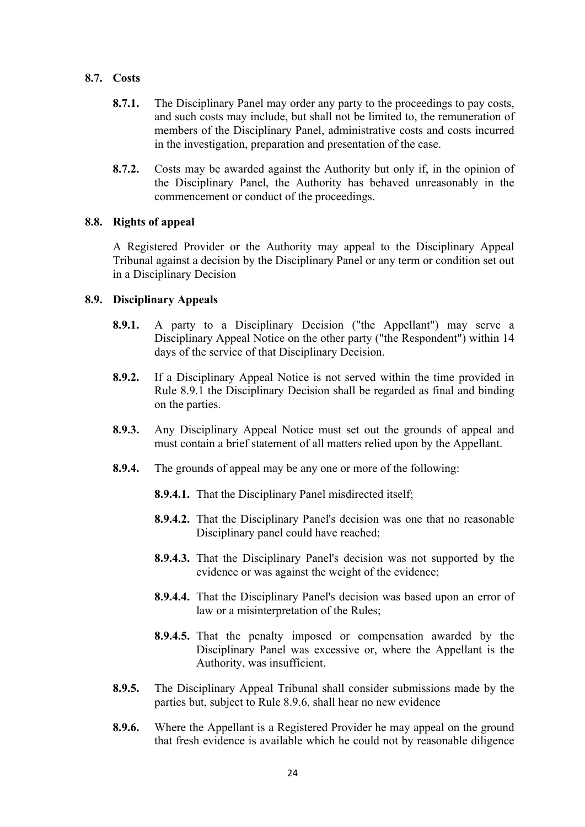#### **8.7. Costs**

- **8.7.1.** The Disciplinary Panel may order any party to the proceedings to pay costs, and such costs may include, but shall not be limited to, the remuneration of members of the Disciplinary Panel, administrative costs and costs incurred in the investigation, preparation and presentation of the case.
- **8.7.2.** Costs may be awarded against the Authority but only if, in the opinion of the Disciplinary Panel, the Authority has behaved unreasonably in the commencement or conduct of the proceedings.

### **8.8. Rights of appeal**

A Registered Provider or the Authority may appeal to the Disciplinary Appeal Tribunal against a decision by the Disciplinary Panel or any term or condition set out in a Disciplinary Decision

### **8.9. Disciplinary Appeals**

- **8.9.1.** A party to a Disciplinary Decision ("the Appellant") may serve a Disciplinary Appeal Notice on the other party ("the Respondent") within 14 days of the service of that Disciplinary Decision.
- **8.9.2.** If a Disciplinary Appeal Notice is not served within the time provided in Rule 8.9.1 the Disciplinary Decision shall be regarded as final and binding on the parties.
- **8.9.3.** Any Disciplinary Appeal Notice must set out the grounds of appeal and must contain a brief statement of all matters relied upon by the Appellant.
- **8.9.4.** The grounds of appeal may be any one or more of the following:
	- **8.9.4.1.** That the Disciplinary Panel misdirected itself;
	- **8.9.4.2.** That the Disciplinary Panel's decision was one that no reasonable Disciplinary panel could have reached;
	- **8.9.4.3.** That the Disciplinary Panel's decision was not supported by the evidence or was against the weight of the evidence;
	- **8.9.4.4.** That the Disciplinary Panel's decision was based upon an error of law or a misinterpretation of the Rules;
	- **8.9.4.5.** That the penalty imposed or compensation awarded by the Disciplinary Panel was excessive or, where the Appellant is the Authority, was insufficient.
- **8.9.5.** The Disciplinary Appeal Tribunal shall consider submissions made by the parties but, subject to Rule 8.9.6, shall hear no new evidence
- **8.9.6.** Where the Appellant is a Registered Provider he may appeal on the ground that fresh evidence is available which he could not by reasonable diligence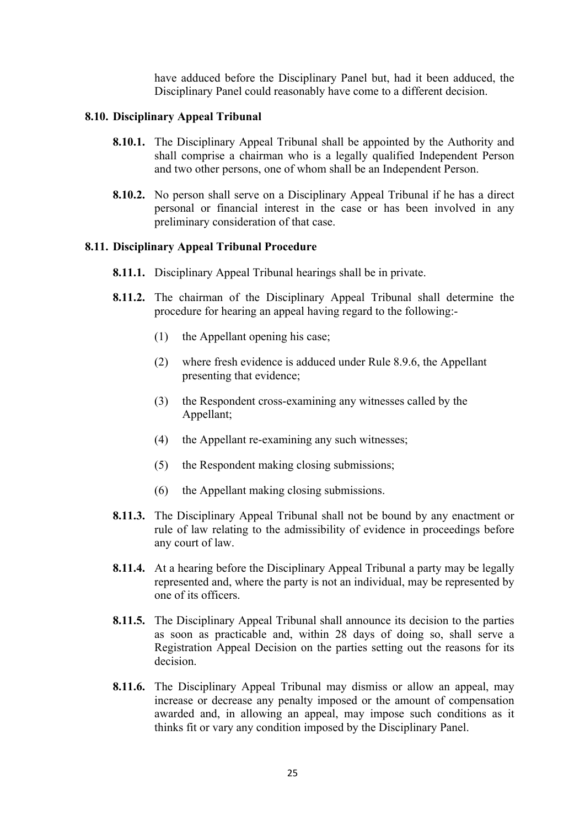have adduced before the Disciplinary Panel but, had it been adduced, the Disciplinary Panel could reasonably have come to a different decision.

#### **8.10. Disciplinary Appeal Tribunal**

- **8.10.1.** The Disciplinary Appeal Tribunal shall be appointed by the Authority and shall comprise a chairman who is a legally qualified Independent Person and two other persons, one of whom shall be an Independent Person.
- **8.10.2.** No person shall serve on a Disciplinary Appeal Tribunal if he has a direct personal or financial interest in the case or has been involved in any preliminary consideration of that case.

#### **8.11. Disciplinary Appeal Tribunal Procedure**

- **8.11.1.** Disciplinary Appeal Tribunal hearings shall be in private.
- **8.11.2.** The chairman of the Disciplinary Appeal Tribunal shall determine the procedure for hearing an appeal having regard to the following:-
	- (1) the Appellant opening his case;
	- (2) where fresh evidence is adduced under Rule 8.9.6, the Appellant presenting that evidence;
	- (3) the Respondent cross-examining any witnesses called by the Appellant;
	- (4) the Appellant re-examining any such witnesses;
	- (5) the Respondent making closing submissions;
	- (6) the Appellant making closing submissions.
- **8.11.3.** The Disciplinary Appeal Tribunal shall not be bound by any enactment or rule of law relating to the admissibility of evidence in proceedings before any court of law.
- **8.11.4.** At a hearing before the Disciplinary Appeal Tribunal a party may be legally represented and, where the party is not an individual, may be represented by one of its officers.
- **8.11.5.** The Disciplinary Appeal Tribunal shall announce its decision to the parties as soon as practicable and, within 28 days of doing so, shall serve a Registration Appeal Decision on the parties setting out the reasons for its decision.
- **8.11.6.** The Disciplinary Appeal Tribunal may dismiss or allow an appeal, may increase or decrease any penalty imposed or the amount of compensation awarded and, in allowing an appeal, may impose such conditions as it thinks fit or vary any condition imposed by the Disciplinary Panel.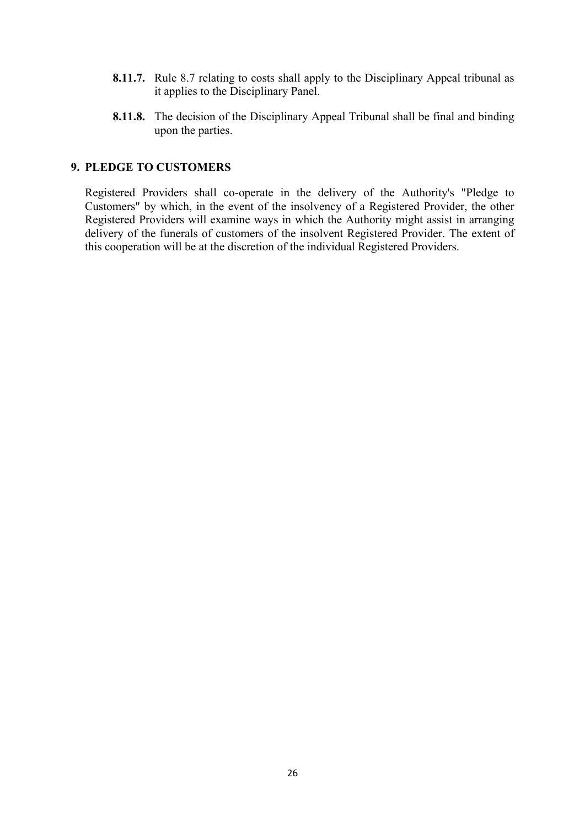- **8.11.7.** Rule 8.7 relating to costs shall apply to the Disciplinary Appeal tribunal as it applies to the Disciplinary Panel.
- **8.11.8.** The decision of the Disciplinary Appeal Tribunal shall be final and binding upon the parties.

### **9. PLEDGE TO CUSTOMERS**

Registered Providers shall co-operate in the delivery of the Authority's "Pledge to Customers" by which, in the event of the insolvency of a Registered Provider, the other Registered Providers will examine ways in which the Authority might assist in arranging delivery of the funerals of customers of the insolvent Registered Provider. The extent of this cooperation will be at the discretion of the individual Registered Providers.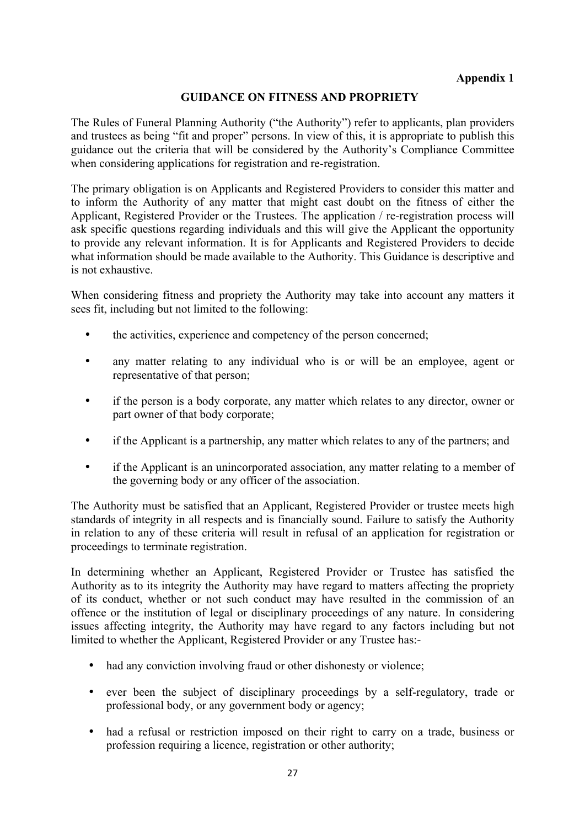### **Appendix 1**

### **GUIDANCE ON FITNESS AND PROPRIETY**

The Rules of Funeral Planning Authority ("the Authority") refer to applicants, plan providers and trustees as being "fit and proper" persons. In view of this, it is appropriate to publish this guidance out the criteria that will be considered by the Authority's Compliance Committee when considering applications for registration and re-registration.

The primary obligation is on Applicants and Registered Providers to consider this matter and to inform the Authority of any matter that might cast doubt on the fitness of either the Applicant, Registered Provider or the Trustees. The application / re-registration process will ask specific questions regarding individuals and this will give the Applicant the opportunity to provide any relevant information. It is for Applicants and Registered Providers to decide what information should be made available to the Authority. This Guidance is descriptive and is not exhaustive.

When considering fitness and propriety the Authority may take into account any matters it sees fit, including but not limited to the following:

- the activities, experience and competency of the person concerned;
- any matter relating to any individual who is or will be an employee, agent or representative of that person;
- if the person is a body corporate, any matter which relates to any director, owner or part owner of that body corporate;
- if the Applicant is a partnership, any matter which relates to any of the partners; and
- if the Applicant is an unincorporated association, any matter relating to a member of the governing body or any officer of the association.

The Authority must be satisfied that an Applicant, Registered Provider or trustee meets high standards of integrity in all respects and is financially sound. Failure to satisfy the Authority in relation to any of these criteria will result in refusal of an application for registration or proceedings to terminate registration.

In determining whether an Applicant, Registered Provider or Trustee has satisfied the Authority as to its integrity the Authority may have regard to matters affecting the propriety of its conduct, whether or not such conduct may have resulted in the commission of an offence or the institution of legal or disciplinary proceedings of any nature. In considering issues affecting integrity, the Authority may have regard to any factors including but not limited to whether the Applicant, Registered Provider or any Trustee has:-

- had any conviction involving fraud or other dishonesty or violence;
- ever been the subject of disciplinary proceedings by a self-regulatory, trade or professional body, or any government body or agency;
- had a refusal or restriction imposed on their right to carry on a trade, business or profession requiring a licence, registration or other authority;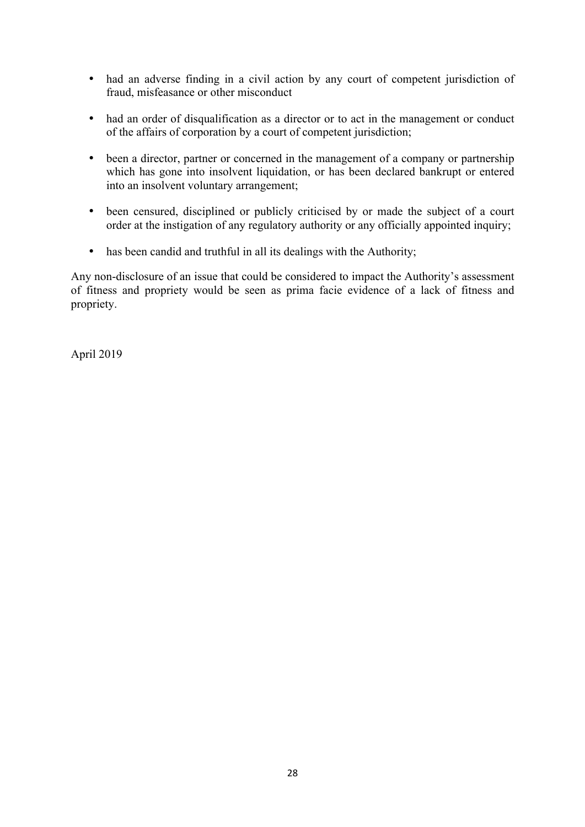- had an adverse finding in a civil action by any court of competent jurisdiction of fraud, misfeasance or other misconduct
- had an order of disqualification as a director or to act in the management or conduct of the affairs of corporation by a court of competent jurisdiction;
- been a director, partner or concerned in the management of a company or partnership which has gone into insolvent liquidation, or has been declared bankrupt or entered into an insolvent voluntary arrangement;
- been censured, disciplined or publicly criticised by or made the subject of a court order at the instigation of any regulatory authority or any officially appointed inquiry;
- has been candid and truthful in all its dealings with the Authority;

Any non-disclosure of an issue that could be considered to impact the Authority's assessment of fitness and propriety would be seen as prima facie evidence of a lack of fitness and propriety.

April 2019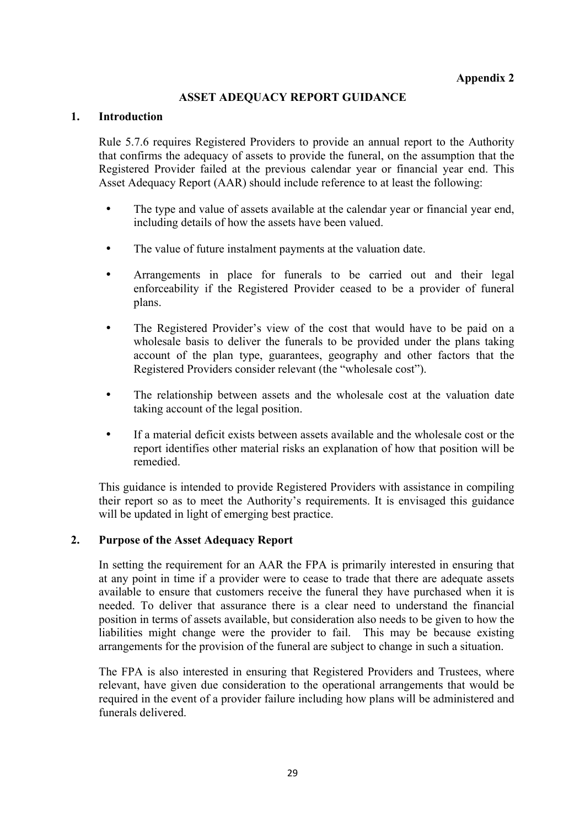# **ASSET ADEQUACY REPORT GUIDANCE**

### **1. Introduction**

Rule 5.7.6 requires Registered Providers to provide an annual report to the Authority that confirms the adequacy of assets to provide the funeral, on the assumption that the Registered Provider failed at the previous calendar year or financial year end. This Asset Adequacy Report (AAR) should include reference to at least the following:

- The type and value of assets available at the calendar year or financial year end, including details of how the assets have been valued.
- The value of future instalment payments at the valuation date.
- Arrangements in place for funerals to be carried out and their legal enforceability if the Registered Provider ceased to be a provider of funeral plans.
- The Registered Provider's view of the cost that would have to be paid on a wholesale basis to deliver the funerals to be provided under the plans taking account of the plan type, guarantees, geography and other factors that the Registered Providers consider relevant (the "wholesale cost").
- The relationship between assets and the wholesale cost at the valuation date taking account of the legal position.
- If a material deficit exists between assets available and the wholesale cost or the report identifies other material risks an explanation of how that position will be remedied.

This guidance is intended to provide Registered Providers with assistance in compiling their report so as to meet the Authority's requirements. It is envisaged this guidance will be updated in light of emerging best practice.

# **2. Purpose of the Asset Adequacy Report**

In setting the requirement for an AAR the FPA is primarily interested in ensuring that at any point in time if a provider were to cease to trade that there are adequate assets available to ensure that customers receive the funeral they have purchased when it is needed. To deliver that assurance there is a clear need to understand the financial position in terms of assets available, but consideration also needs to be given to how the liabilities might change were the provider to fail. This may be because existing arrangements for the provision of the funeral are subject to change in such a situation.

The FPA is also interested in ensuring that Registered Providers and Trustees, where relevant, have given due consideration to the operational arrangements that would be required in the event of a provider failure including how plans will be administered and funerals delivered.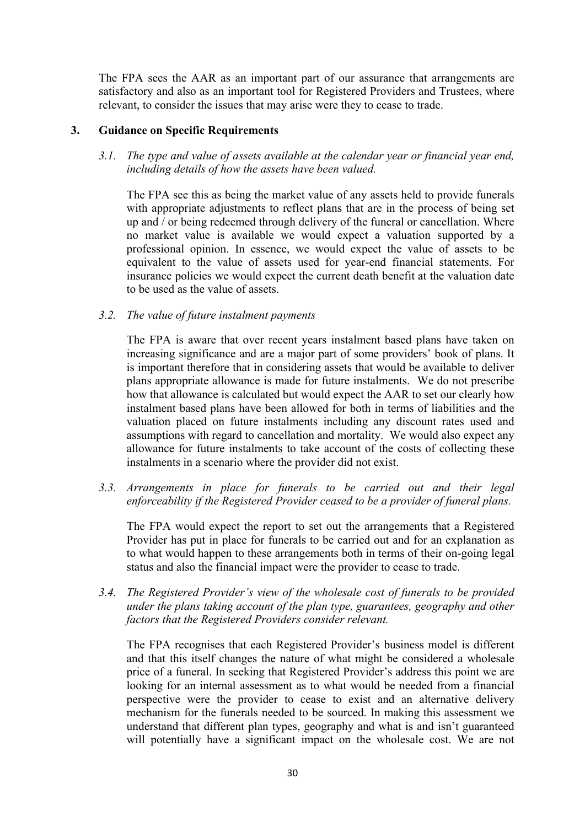The FPA sees the AAR as an important part of our assurance that arrangements are satisfactory and also as an important tool for Registered Providers and Trustees, where relevant, to consider the issues that may arise were they to cease to trade.

### **3. Guidance on Specific Requirements**

*3.1. The type and value of assets available at the calendar year or financial year end, including details of how the assets have been valued.*

The FPA see this as being the market value of any assets held to provide funerals with appropriate adjustments to reflect plans that are in the process of being set up and / or being redeemed through delivery of the funeral or cancellation. Where no market value is available we would expect a valuation supported by a professional opinion. In essence, we would expect the value of assets to be equivalent to the value of assets used for year-end financial statements. For insurance policies we would expect the current death benefit at the valuation date to be used as the value of assets.

### *3.2. The value of future instalment payments*

The FPA is aware that over recent years instalment based plans have taken on increasing significance and are a major part of some providers' book of plans. It is important therefore that in considering assets that would be available to deliver plans appropriate allowance is made for future instalments. We do not prescribe how that allowance is calculated but would expect the AAR to set our clearly how instalment based plans have been allowed for both in terms of liabilities and the valuation placed on future instalments including any discount rates used and assumptions with regard to cancellation and mortality. We would also expect any allowance for future instalments to take account of the costs of collecting these instalments in a scenario where the provider did not exist.

*3.3. Arrangements in place for funerals to be carried out and their legal enforceability if the Registered Provider ceased to be a provider of funeral plans.*

The FPA would expect the report to set out the arrangements that a Registered Provider has put in place for funerals to be carried out and for an explanation as to what would happen to these arrangements both in terms of their on-going legal status and also the financial impact were the provider to cease to trade.

*3.4. The Registered Provider's view of the wholesale cost of funerals to be provided under the plans taking account of the plan type, guarantees, geography and other factors that the Registered Providers consider relevant.*

The FPA recognises that each Registered Provider's business model is different and that this itself changes the nature of what might be considered a wholesale price of a funeral. In seeking that Registered Provider's address this point we are looking for an internal assessment as to what would be needed from a financial perspective were the provider to cease to exist and an alternative delivery mechanism for the funerals needed to be sourced. In making this assessment we understand that different plan types, geography and what is and isn't guaranteed will potentially have a significant impact on the wholesale cost. We are not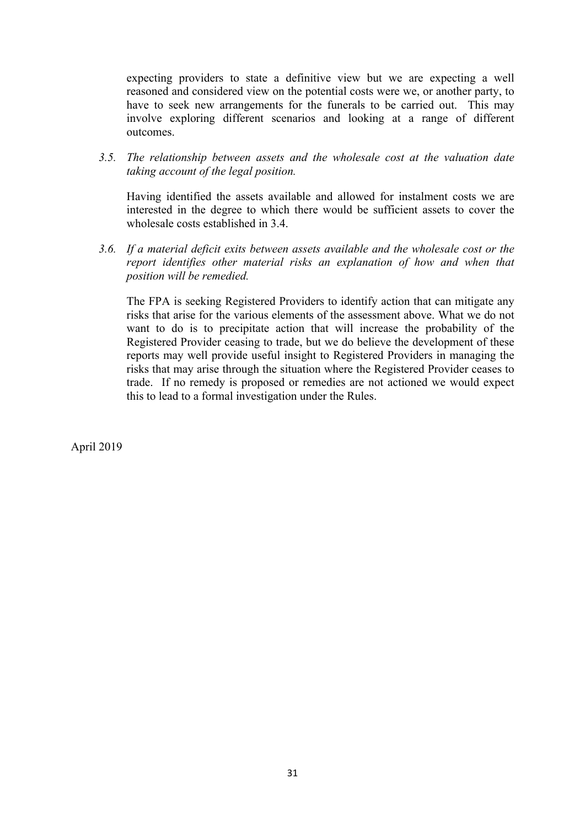expecting providers to state a definitive view but we are expecting a well reasoned and considered view on the potential costs were we, or another party, to have to seek new arrangements for the funerals to be carried out. This may involve exploring different scenarios and looking at a range of different outcomes.

*3.5. The relationship between assets and the wholesale cost at the valuation date taking account of the legal position.*

Having identified the assets available and allowed for instalment costs we are interested in the degree to which there would be sufficient assets to cover the wholesale costs established in 3.4.

*3.6. If a material deficit exits between assets available and the wholesale cost or the report identifies other material risks an explanation of how and when that position will be remedied.*

The FPA is seeking Registered Providers to identify action that can mitigate any risks that arise for the various elements of the assessment above. What we do not want to do is to precipitate action that will increase the probability of the Registered Provider ceasing to trade, but we do believe the development of these reports may well provide useful insight to Registered Providers in managing the risks that may arise through the situation where the Registered Provider ceases to trade. If no remedy is proposed or remedies are not actioned we would expect this to lead to a formal investigation under the Rules.

April 2019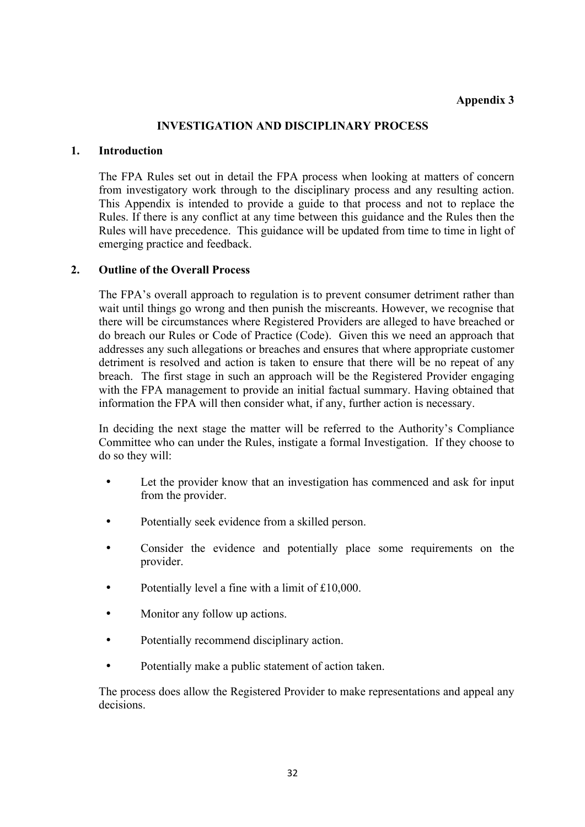### **Appendix 3**

### **INVESTIGATION AND DISCIPLINARY PROCESS**

#### **1. Introduction**

The FPA Rules set out in detail the FPA process when looking at matters of concern from investigatory work through to the disciplinary process and any resulting action. This Appendix is intended to provide a guide to that process and not to replace the Rules. If there is any conflict at any time between this guidance and the Rules then the Rules will have precedence. This guidance will be updated from time to time in light of emerging practice and feedback.

### **2. Outline of the Overall Process**

The FPA's overall approach to regulation is to prevent consumer detriment rather than wait until things go wrong and then punish the miscreants. However, we recognise that there will be circumstances where Registered Providers are alleged to have breached or do breach our Rules or Code of Practice (Code). Given this we need an approach that addresses any such allegations or breaches and ensures that where appropriate customer detriment is resolved and action is taken to ensure that there will be no repeat of any breach. The first stage in such an approach will be the Registered Provider engaging with the FPA management to provide an initial factual summary. Having obtained that information the FPA will then consider what, if any, further action is necessary.

In deciding the next stage the matter will be referred to the Authority's Compliance Committee who can under the Rules, instigate a formal Investigation. If they choose to do so they will:

- Let the provider know that an investigation has commenced and ask for input from the provider.
- Potentially seek evidence from a skilled person.
- Consider the evidence and potentially place some requirements on the provider.
- Potentially level a fine with a limit of £10,000.
- Monitor any follow up actions.
- Potentially recommend disciplinary action.
- Potentially make a public statement of action taken.

The process does allow the Registered Provider to make representations and appeal any decisions.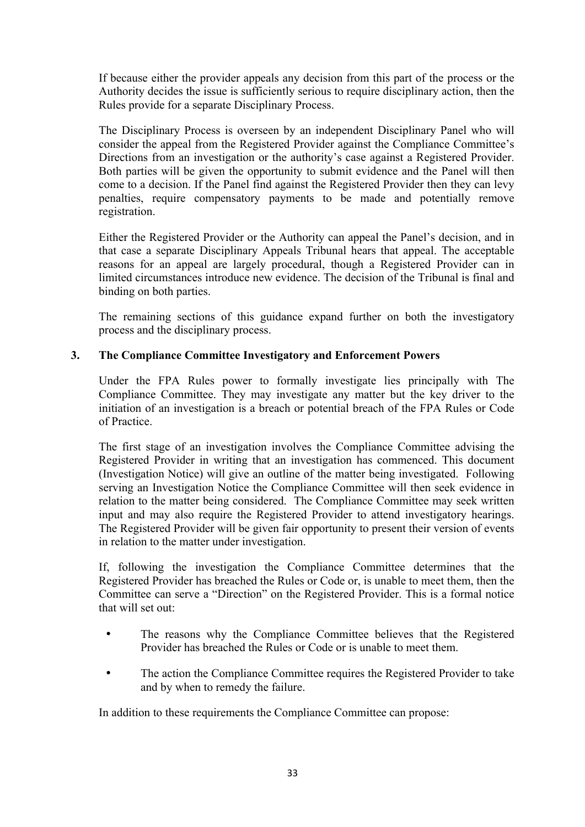If because either the provider appeals any decision from this part of the process or the Authority decides the issue is sufficiently serious to require disciplinary action, then the Rules provide for a separate Disciplinary Process.

The Disciplinary Process is overseen by an independent Disciplinary Panel who will consider the appeal from the Registered Provider against the Compliance Committee's Directions from an investigation or the authority's case against a Registered Provider. Both parties will be given the opportunity to submit evidence and the Panel will then come to a decision. If the Panel find against the Registered Provider then they can levy penalties, require compensatory payments to be made and potentially remove registration.

Either the Registered Provider or the Authority can appeal the Panel's decision, and in that case a separate Disciplinary Appeals Tribunal hears that appeal. The acceptable reasons for an appeal are largely procedural, though a Registered Provider can in limited circumstances introduce new evidence. The decision of the Tribunal is final and binding on both parties.

The remaining sections of this guidance expand further on both the investigatory process and the disciplinary process.

# **3. The Compliance Committee Investigatory and Enforcement Powers**

Under the FPA Rules power to formally investigate lies principally with The Compliance Committee. They may investigate any matter but the key driver to the initiation of an investigation is a breach or potential breach of the FPA Rules or Code of Practice.

The first stage of an investigation involves the Compliance Committee advising the Registered Provider in writing that an investigation has commenced. This document (Investigation Notice) will give an outline of the matter being investigated. Following serving an Investigation Notice the Compliance Committee will then seek evidence in relation to the matter being considered. The Compliance Committee may seek written input and may also require the Registered Provider to attend investigatory hearings. The Registered Provider will be given fair opportunity to present their version of events in relation to the matter under investigation.

If, following the investigation the Compliance Committee determines that the Registered Provider has breached the Rules or Code or, is unable to meet them, then the Committee can serve a "Direction" on the Registered Provider. This is a formal notice that will set out:

- The reasons why the Compliance Committee believes that the Registered Provider has breached the Rules or Code or is unable to meet them.
- The action the Compliance Committee requires the Registered Provider to take and by when to remedy the failure.

In addition to these requirements the Compliance Committee can propose: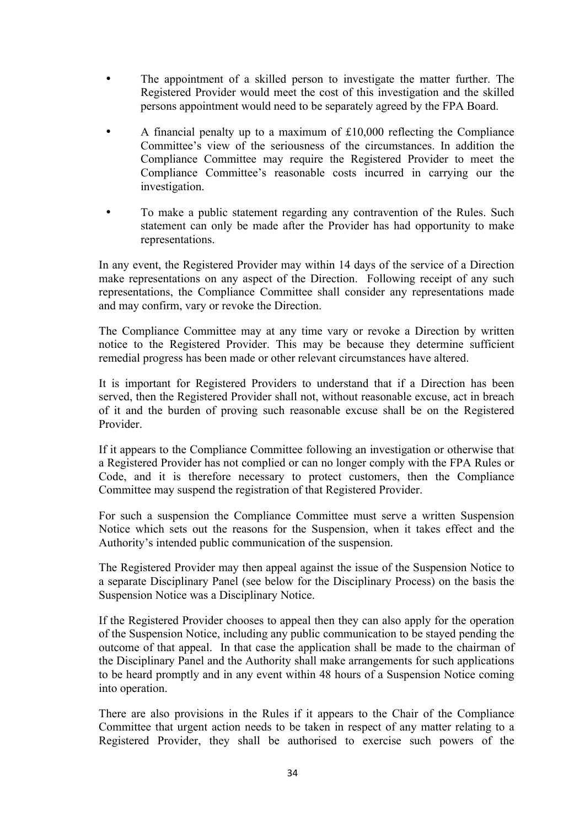- The appointment of a skilled person to investigate the matter further. The Registered Provider would meet the cost of this investigation and the skilled persons appointment would need to be separately agreed by the FPA Board.
- A financial penalty up to a maximum of £10,000 reflecting the Compliance Committee's view of the seriousness of the circumstances. In addition the Compliance Committee may require the Registered Provider to meet the Compliance Committee's reasonable costs incurred in carrying our the investigation.
- To make a public statement regarding any contravention of the Rules. Such statement can only be made after the Provider has had opportunity to make representations.

In any event, the Registered Provider may within 14 days of the service of a Direction make representations on any aspect of the Direction. Following receipt of any such representations, the Compliance Committee shall consider any representations made and may confirm, vary or revoke the Direction.

The Compliance Committee may at any time vary or revoke a Direction by written notice to the Registered Provider. This may be because they determine sufficient remedial progress has been made or other relevant circumstances have altered.

It is important for Registered Providers to understand that if a Direction has been served, then the Registered Provider shall not, without reasonable excuse, act in breach of it and the burden of proving such reasonable excuse shall be on the Registered Provider.

If it appears to the Compliance Committee following an investigation or otherwise that a Registered Provider has not complied or can no longer comply with the FPA Rules or Code, and it is therefore necessary to protect customers, then the Compliance Committee may suspend the registration of that Registered Provider.

For such a suspension the Compliance Committee must serve a written Suspension Notice which sets out the reasons for the Suspension, when it takes effect and the Authority's intended public communication of the suspension.

The Registered Provider may then appeal against the issue of the Suspension Notice to a separate Disciplinary Panel (see below for the Disciplinary Process) on the basis the Suspension Notice was a Disciplinary Notice.

If the Registered Provider chooses to appeal then they can also apply for the operation of the Suspension Notice, including any public communication to be stayed pending the outcome of that appeal. In that case the application shall be made to the chairman of the Disciplinary Panel and the Authority shall make arrangements for such applications to be heard promptly and in any event within 48 hours of a Suspension Notice coming into operation.

There are also provisions in the Rules if it appears to the Chair of the Compliance Committee that urgent action needs to be taken in respect of any matter relating to a Registered Provider, they shall be authorised to exercise such powers of the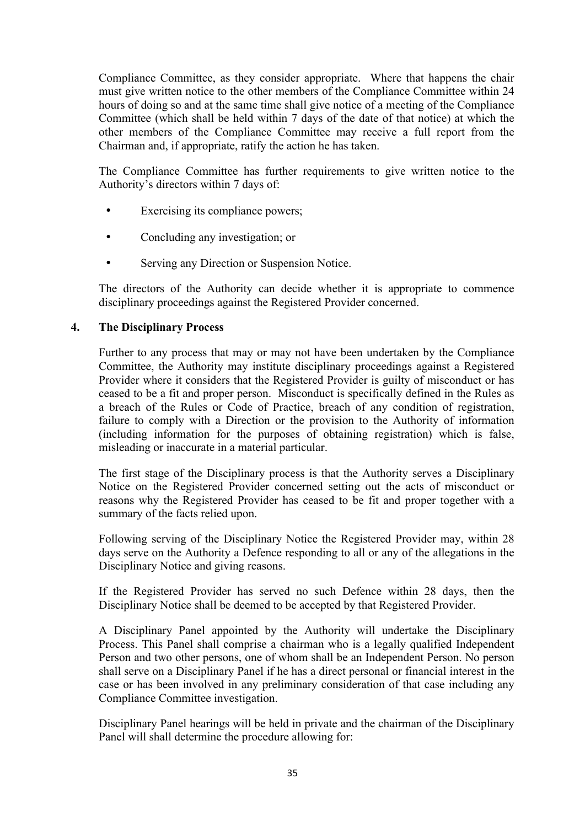Compliance Committee, as they consider appropriate. Where that happens the chair must give written notice to the other members of the Compliance Committee within 24 hours of doing so and at the same time shall give notice of a meeting of the Compliance Committee (which shall be held within 7 days of the date of that notice) at which the other members of the Compliance Committee may receive a full report from the Chairman and, if appropriate, ratify the action he has taken.

The Compliance Committee has further requirements to give written notice to the Authority's directors within 7 days of:

- Exercising its compliance powers;
- Concluding any investigation; or
- Serving any Direction or Suspension Notice.

The directors of the Authority can decide whether it is appropriate to commence disciplinary proceedings against the Registered Provider concerned.

### **4. The Disciplinary Process**

Further to any process that may or may not have been undertaken by the Compliance Committee, the Authority may institute disciplinary proceedings against a Registered Provider where it considers that the Registered Provider is guilty of misconduct or has ceased to be a fit and proper person. Misconduct is specifically defined in the Rules as a breach of the Rules or Code of Practice, breach of any condition of registration, failure to comply with a Direction or the provision to the Authority of information (including information for the purposes of obtaining registration) which is false, misleading or inaccurate in a material particular.

The first stage of the Disciplinary process is that the Authority serves a Disciplinary Notice on the Registered Provider concerned setting out the acts of misconduct or reasons why the Registered Provider has ceased to be fit and proper together with a summary of the facts relied upon.

Following serving of the Disciplinary Notice the Registered Provider may, within 28 days serve on the Authority a Defence responding to all or any of the allegations in the Disciplinary Notice and giving reasons.

If the Registered Provider has served no such Defence within 28 days, then the Disciplinary Notice shall be deemed to be accepted by that Registered Provider.

A Disciplinary Panel appointed by the Authority will undertake the Disciplinary Process. This Panel shall comprise a chairman who is a legally qualified Independent Person and two other persons, one of whom shall be an Independent Person. No person shall serve on a Disciplinary Panel if he has a direct personal or financial interest in the case or has been involved in any preliminary consideration of that case including any Compliance Committee investigation.

Disciplinary Panel hearings will be held in private and the chairman of the Disciplinary Panel will shall determine the procedure allowing for: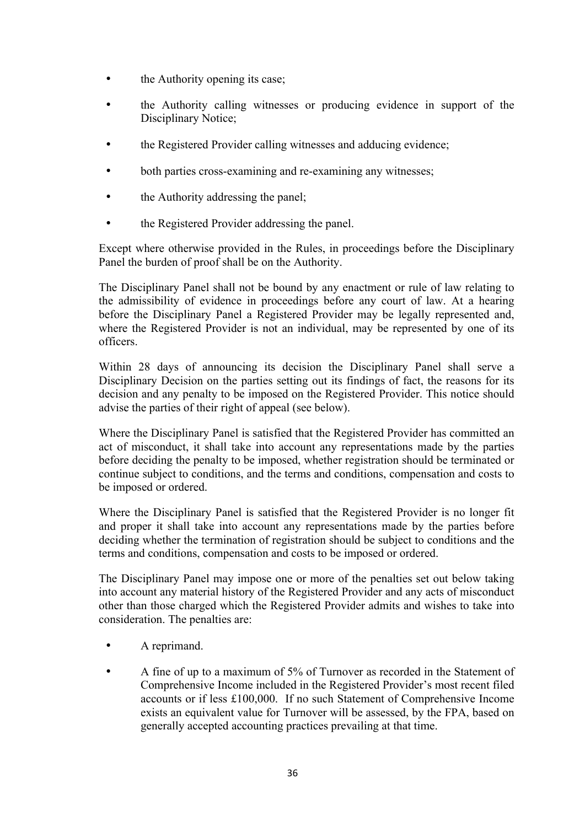- the Authority opening its case;
- the Authority calling witnesses or producing evidence in support of the Disciplinary Notice;
- the Registered Provider calling witnesses and adducing evidence;
- both parties cross-examining and re-examining any witnesses;
- the Authority addressing the panel;
- the Registered Provider addressing the panel.

Except where otherwise provided in the Rules, in proceedings before the Disciplinary Panel the burden of proof shall be on the Authority.

The Disciplinary Panel shall not be bound by any enactment or rule of law relating to the admissibility of evidence in proceedings before any court of law. At a hearing before the Disciplinary Panel a Registered Provider may be legally represented and, where the Registered Provider is not an individual, may be represented by one of its officers.

Within 28 days of announcing its decision the Disciplinary Panel shall serve a Disciplinary Decision on the parties setting out its findings of fact, the reasons for its decision and any penalty to be imposed on the Registered Provider. This notice should advise the parties of their right of appeal (see below).

Where the Disciplinary Panel is satisfied that the Registered Provider has committed an act of misconduct, it shall take into account any representations made by the parties before deciding the penalty to be imposed, whether registration should be terminated or continue subject to conditions, and the terms and conditions, compensation and costs to be imposed or ordered.

Where the Disciplinary Panel is satisfied that the Registered Provider is no longer fit and proper it shall take into account any representations made by the parties before deciding whether the termination of registration should be subject to conditions and the terms and conditions, compensation and costs to be imposed or ordered.

The Disciplinary Panel may impose one or more of the penalties set out below taking into account any material history of the Registered Provider and any acts of misconduct other than those charged which the Registered Provider admits and wishes to take into consideration. The penalties are:

- A reprimand.
- A fine of up to a maximum of 5% of Turnover as recorded in the Statement of Comprehensive Income included in the Registered Provider's most recent filed accounts or if less £100,000. If no such Statement of Comprehensive Income exists an equivalent value for Turnover will be assessed, by the FPA, based on generally accepted accounting practices prevailing at that time.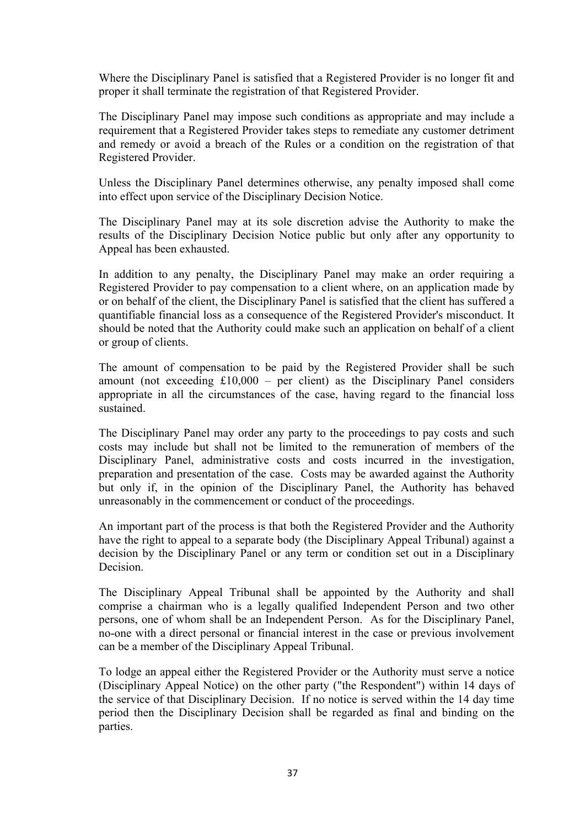Where the Disciplinary Panel is satisfied that a Registered Provider is no longer fit and proper it shall terminate the registration of that Registered Provider.

The Disciplinary Panel may impose such conditions as appropriate and may include a requirement that a Registered Provider takes steps to remediate any customer detriment and remedy or avoid a breach of the Rules or a condition on the registration of that Registered Provider.

Unless the Disciplinary Panel determines otherwise, any penalty imposed shall come into effect upon service of the Disciplinary Decision Notice.

The Disciplinary Panel may at its sole discretion advise the Authority to make the results of the Disciplinary Decision Notice public but only after any opportunity to Appeal has been exhausted.

In addition to any penalty, the Disciplinary Panel may make an order requiring a Registered Provider to pay compensation to a client where, on an application made by or on behalf of the client, the Disciplinary Panel is satisfied that the client has suffered a quantifiable financial loss as a consequence of the Registered Provider's misconduct. It should be noted that the Authority could make such an application on behalf of a client or group of clients.

The amount of compensation to be paid by the Registered Provider shall be such amount (not exceeding £10,000 – per client) as the Disciplinary Panel considers appropriate in all the circumstances of the case, having regard to the financial loss sustained.

The Disciplinary Panel may order any party to the proceedings to pay costs and such costs may include but shall not be limited to the remuneration of members of the Disciplinary Panel, administrative costs and costs incurred in the investigation, preparation and presentation of the case. Costs may be awarded against the Authority but only if, in the opinion of the Disciplinary Panel, the Authority has behaved unreasonably in the commencement or conduct of the proceedings.

An important part of the process is that both the Registered Provider and the Authority have the right to appeal to a separate body (the Disciplinary Appeal Tribunal) against a decision by the Disciplinary Panel or any term or condition set out in a Disciplinary Decision.

The Disciplinary Appeal Tribunal shall be appointed by the Authority and shall comprise a chairman who is a legally qualified Independent Person and two other persons, one of whom shall be an Independent Person. As for the Disciplinary Panel, no-one with a direct personal or financial interest in the case or previous involvement can be a member of the Disciplinary Appeal Tribunal.

To lodge an appeal either the Registered Provider or the Authority must serve a notice (Disciplinary Appeal Notice) on the other party ("the Respondent") within 14 days of the service of that Disciplinary Decision. If no notice is served within the 14 day time period then the Disciplinary Decision shall be regarded as final and binding on the parties.